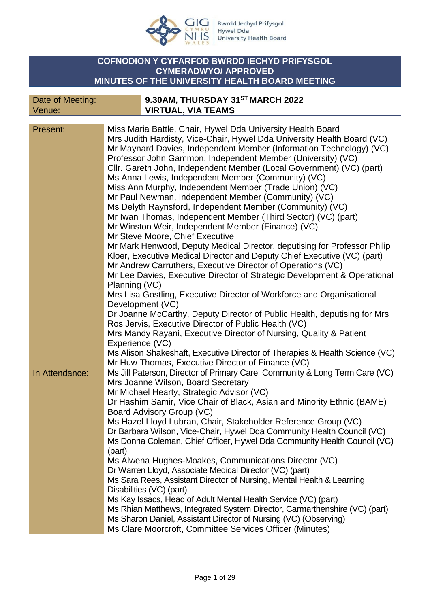

Bwrdd Iechyd Prifysgol<br>Hywel Dda<br>University Health Board

## **COFNODION Y CYFARFOD BWRDD IECHYD PRIFYSGOL CYMERADWYO/ APPROVED MINUTES OF THE UNIVERSITY HEALTH BOARD MEETING**

| Date of Meeting: | 9.30AM, THURSDAY 31ST MARCH 2022 |
|------------------|----------------------------------|
| Venue:           | <b>VIRTUAL, VIA TEAMS</b>        |

| Present:       | Miss Maria Battle, Chair, Hywel Dda University Health Board                 |
|----------------|-----------------------------------------------------------------------------|
|                | Mrs Judith Hardisty, Vice-Chair, Hywel Dda University Health Board (VC)     |
|                | Mr Maynard Davies, Independent Member (Information Technology) (VC)         |
|                | Professor John Gammon, Independent Member (University) (VC)                 |
|                | Cllr. Gareth John, Independent Member (Local Government) (VC) (part)        |
|                | Ms Anna Lewis, Independent Member (Community) (VC)                          |
|                | Miss Ann Murphy, Independent Member (Trade Union) (VC)                      |
|                | Mr Paul Newman, Independent Member (Community) (VC)                         |
|                | Ms Delyth Raynsford, Independent Member (Community) (VC)                    |
|                | Mr Iwan Thomas, Independent Member (Third Sector) (VC) (part)               |
|                | Mr Winston Weir, Independent Member (Finance) (VC)                          |
|                | Mr Steve Moore, Chief Executive                                             |
|                | Mr Mark Henwood, Deputy Medical Director, deputising for Professor Philip   |
|                |                                                                             |
|                | Kloer, Executive Medical Director and Deputy Chief Executive (VC) (part)    |
|                | Mr Andrew Carruthers, Executive Director of Operations (VC)                 |
|                | Mr Lee Davies, Executive Director of Strategic Development & Operational    |
|                | Planning (VC)                                                               |
|                | Mrs Lisa Gostling, Executive Director of Workforce and Organisational       |
|                | Development (VC)                                                            |
|                | Dr Joanne McCarthy, Deputy Director of Public Health, deputising for Mrs    |
|                | Ros Jervis, Executive Director of Public Health (VC)                        |
|                | Mrs Mandy Rayani, Executive Director of Nursing, Quality & Patient          |
|                | Experience (VC)                                                             |
|                | Ms Alison Shakeshaft, Executive Director of Therapies & Health Science (VC) |
|                | Mr Huw Thomas, Executive Director of Finance (VC)                           |
| In Attendance: | Ms Jill Paterson, Director of Primary Care, Community & Long Term Care (VC) |
|                | Mrs Joanne Wilson, Board Secretary                                          |
|                | Mr Michael Hearty, Strategic Advisor (VC)                                   |
|                | Dr Hashim Samir, Vice Chair of Black, Asian and Minority Ethnic (BAME)      |
|                | Board Advisory Group (VC)                                                   |
|                | Ms Hazel Lloyd Lubran, Chair, Stakeholder Reference Group (VC)              |
|                | Dr Barbara Wilson, Vice-Chair, Hywel Dda Community Health Council (VC)      |
|                | Ms Donna Coleman, Chief Officer, Hywel Dda Community Health Council (VC)    |
|                | (part)                                                                      |
|                | Ms Alwena Hughes-Moakes, Communications Director (VC)                       |
|                | Dr Warren Lloyd, Associate Medical Director (VC) (part)                     |
|                | Ms Sara Rees, Assistant Director of Nursing, Mental Health & Learning       |
|                | Disabilities (VC) (part)                                                    |
|                | Ms Kay Issacs, Head of Adult Mental Health Service (VC) (part)              |
|                | Ms Rhian Matthews, Integrated System Director, Carmarthenshire (VC) (part)  |
|                | Ms Sharon Daniel, Assistant Director of Nursing (VC) (Observing)            |
|                | Ms Clare Moorcroft, Committee Services Officer (Minutes)                    |
|                |                                                                             |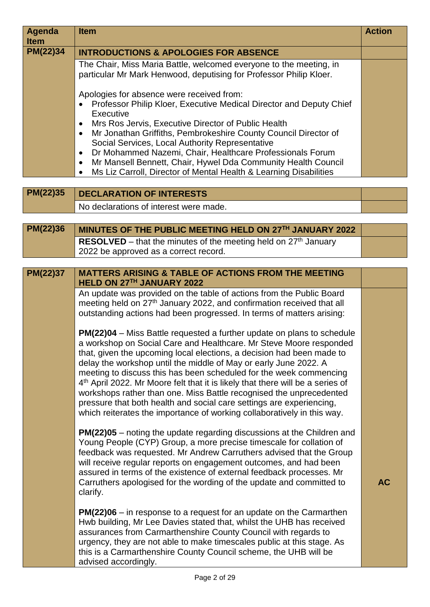| <b>Agenda</b><br><b>Item</b> | <b>Item</b>                                                                                                                                                                                                                                                                                                                                                                                                                                                                                                                                                                                                                                                                                    | <b>Action</b> |
|------------------------------|------------------------------------------------------------------------------------------------------------------------------------------------------------------------------------------------------------------------------------------------------------------------------------------------------------------------------------------------------------------------------------------------------------------------------------------------------------------------------------------------------------------------------------------------------------------------------------------------------------------------------------------------------------------------------------------------|---------------|
| PM(22)34                     | <b>INTRODUCTIONS &amp; APOLOGIES FOR ABSENCE</b>                                                                                                                                                                                                                                                                                                                                                                                                                                                                                                                                                                                                                                               |               |
|                              | The Chair, Miss Maria Battle, welcomed everyone to the meeting, in<br>particular Mr Mark Henwood, deputising for Professor Philip Kloer.                                                                                                                                                                                                                                                                                                                                                                                                                                                                                                                                                       |               |
|                              | Apologies for absence were received from:<br>Professor Philip Kloer, Executive Medical Director and Deputy Chief<br>$\bullet$<br>Executive                                                                                                                                                                                                                                                                                                                                                                                                                                                                                                                                                     |               |
|                              | Mrs Ros Jervis, Executive Director of Public Health<br>$\bullet$<br>Mr Jonathan Griffiths, Pembrokeshire County Council Director of<br>$\bullet$<br>Social Services, Local Authority Representative<br>Dr Mohammed Nazemi, Chair, Healthcare Professionals Forum<br>$\bullet$                                                                                                                                                                                                                                                                                                                                                                                                                  |               |
|                              | Mr Mansell Bennett, Chair, Hywel Dda Community Health Council<br>$\bullet$<br>Ms Liz Carroll, Director of Mental Health & Learning Disabilities<br>$\bullet$                                                                                                                                                                                                                                                                                                                                                                                                                                                                                                                                   |               |
| PM(22)35                     | <b>DECLARATION OF INTERESTS</b>                                                                                                                                                                                                                                                                                                                                                                                                                                                                                                                                                                                                                                                                |               |
|                              | No declarations of interest were made.                                                                                                                                                                                                                                                                                                                                                                                                                                                                                                                                                                                                                                                         |               |
|                              |                                                                                                                                                                                                                                                                                                                                                                                                                                                                                                                                                                                                                                                                                                |               |
| <b>PM(22)36</b>              | MINUTES OF THE PUBLIC MEETING HELD ON 27TH JANUARY 2022                                                                                                                                                                                                                                                                                                                                                                                                                                                                                                                                                                                                                                        |               |
|                              | <b>RESOLVED</b> – that the minutes of the meeting held on $27th$ January                                                                                                                                                                                                                                                                                                                                                                                                                                                                                                                                                                                                                       |               |
|                              | 2022 be approved as a correct record.                                                                                                                                                                                                                                                                                                                                                                                                                                                                                                                                                                                                                                                          |               |
| PM(22)37                     | <b>MATTERS ARISING &amp; TABLE OF ACTIONS FROM THE MEETING</b>                                                                                                                                                                                                                                                                                                                                                                                                                                                                                                                                                                                                                                 |               |
|                              | HELD ON 27TH JANUARY 2022                                                                                                                                                                                                                                                                                                                                                                                                                                                                                                                                                                                                                                                                      |               |
|                              | An update was provided on the table of actions from the Public Board<br>meeting held on 27 <sup>th</sup> January 2022, and confirmation received that all<br>outstanding actions had been progressed. In terms of matters arising:                                                                                                                                                                                                                                                                                                                                                                                                                                                             |               |
|                              | <b>PM(22)04</b> – Miss Battle requested a further update on plans to schedule<br>a workshop on Social Care and Healthcare. Mr Steve Moore responded<br>that, given the upcoming local elections, a decision had been made to<br>delay the workshop until the middle of May or early June 2022. A<br>meeting to discuss this has been scheduled for the week commencing<br>4 <sup>th</sup> April 2022. Mr Moore felt that it is likely that there will be a series of<br>workshops rather than one. Miss Battle recognised the unprecedented<br>pressure that both health and social care settings are experiencing,<br>which reiterates the importance of working collaboratively in this way. |               |
|                              | <b>PM(22)05</b> – noting the update regarding discussions at the Children and<br>Young People (CYP) Group, a more precise timescale for collation of<br>feedback was requested. Mr Andrew Carruthers advised that the Group<br>will receive regular reports on engagement outcomes, and had been<br>assured in terms of the existence of external feedback processes. Mr<br>Carruthers apologised for the wording of the update and committed to<br>clarify.                                                                                                                                                                                                                                   | <b>AC</b>     |
|                              | $PM(22)06 - in$ response to a request for an update on the Carmarthen<br>Hwb building, Mr Lee Davies stated that, whilst the UHB has received<br>assurances from Carmarthenshire County Council with regards to<br>urgency, they are not able to make timescales public at this stage. As<br>this is a Carmarthenshire County Council scheme, the UHB will be<br>advised accordingly.                                                                                                                                                                                                                                                                                                          |               |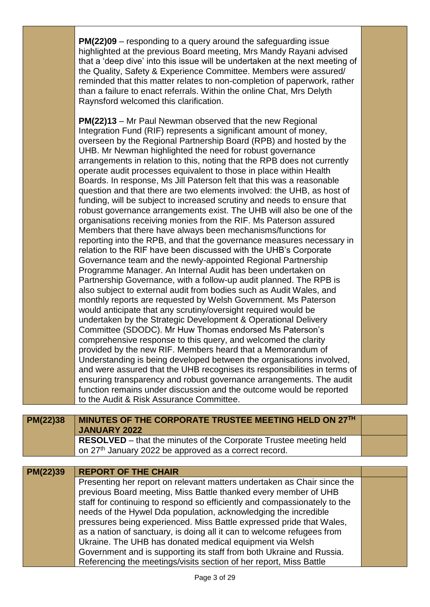|          | highlighted at the previous Board meeting, Mrs Mandy Rayani advised<br>that a 'deep dive' into this issue will be undertaken at the next meeting of<br>the Quality, Safety & Experience Committee. Members were assured/<br>reminded that this matter relates to non-completion of paperwork, rather<br>than a failure to enact referrals. Within the online Chat, Mrs Delyth<br>Raynsford welcomed this clarification.<br>PM(22)13 - Mr Paul Newman observed that the new Regional<br>Integration Fund (RIF) represents a significant amount of money,<br>overseen by the Regional Partnership Board (RPB) and hosted by the<br>UHB. Mr Newman highlighted the need for robust governance<br>arrangements in relation to this, noting that the RPB does not currently<br>operate audit processes equivalent to those in place within Health<br>Boards. In response, Ms Jill Paterson felt that this was a reasonable<br>question and that there are two elements involved: the UHB, as host of<br>funding, will be subject to increased scrutiny and needs to ensure that<br>robust governance arrangements exist. The UHB will also be one of the<br>organisations receiving monies from the RIF. Ms Paterson assured<br>Members that there have always been mechanisms/functions for<br>reporting into the RPB, and that the governance measures necessary in<br>relation to the RIF have been discussed with the UHB's Corporate<br>Governance team and the newly-appointed Regional Partnership<br>Programme Manager. An Internal Audit has been undertaken on<br>Partnership Governance, with a follow-up audit planned. The RPB is<br>also subject to external audit from bodies such as Audit Wales, and<br>monthly reports are requested by Welsh Government. Ms Paterson<br>would anticipate that any scrutiny/oversight required would be<br>undertaken by the Strategic Development & Operational Delivery<br>Committee (SDODC). Mr Huw Thomas endorsed Ms Paterson's<br>comprehensive response to this query, and welcomed the clarity<br>provided by the new RIF. Members heard that a Memorandum of<br>Understanding is being developed between the organisations involved,<br>and were assured that the UHB recognises its responsibilities in terms of<br>ensuring transparency and robust governance arrangements. The audit<br>function remains under discussion and the outcome would be reported |  |
|----------|-----------------------------------------------------------------------------------------------------------------------------------------------------------------------------------------------------------------------------------------------------------------------------------------------------------------------------------------------------------------------------------------------------------------------------------------------------------------------------------------------------------------------------------------------------------------------------------------------------------------------------------------------------------------------------------------------------------------------------------------------------------------------------------------------------------------------------------------------------------------------------------------------------------------------------------------------------------------------------------------------------------------------------------------------------------------------------------------------------------------------------------------------------------------------------------------------------------------------------------------------------------------------------------------------------------------------------------------------------------------------------------------------------------------------------------------------------------------------------------------------------------------------------------------------------------------------------------------------------------------------------------------------------------------------------------------------------------------------------------------------------------------------------------------------------------------------------------------------------------------------------------------------------------------------------------------------------------------------------------------------------------------------------------------------------------------------------------------------------------------------------------------------------------------------------------------------------------------------------------------------------------------------------------------------------------------------------------------------------------------------------------------------------------------------|--|
|          | to the Audit & Risk Assurance Committee.                                                                                                                                                                                                                                                                                                                                                                                                                                                                                                                                                                                                                                                                                                                                                                                                                                                                                                                                                                                                                                                                                                                                                                                                                                                                                                                                                                                                                                                                                                                                                                                                                                                                                                                                                                                                                                                                                                                                                                                                                                                                                                                                                                                                                                                                                                                                                                              |  |
|          |                                                                                                                                                                                                                                                                                                                                                                                                                                                                                                                                                                                                                                                                                                                                                                                                                                                                                                                                                                                                                                                                                                                                                                                                                                                                                                                                                                                                                                                                                                                                                                                                                                                                                                                                                                                                                                                                                                                                                                                                                                                                                                                                                                                                                                                                                                                                                                                                                       |  |
| PM(22)38 | MINUTES OF THE CORPORATE TRUSTEE MEETING HELD ON 27TH<br><b>JANUARY 2022</b>                                                                                                                                                                                                                                                                                                                                                                                                                                                                                                                                                                                                                                                                                                                                                                                                                                                                                                                                                                                                                                                                                                                                                                                                                                                                                                                                                                                                                                                                                                                                                                                                                                                                                                                                                                                                                                                                                                                                                                                                                                                                                                                                                                                                                                                                                                                                          |  |
|          | <b>RESOLVED</b> – that the minutes of the Corporate Trustee meeting held<br>on 27 <sup>th</sup> January 2022 be approved as a correct record.                                                                                                                                                                                                                                                                                                                                                                                                                                                                                                                                                                                                                                                                                                                                                                                                                                                                                                                                                                                                                                                                                                                                                                                                                                                                                                                                                                                                                                                                                                                                                                                                                                                                                                                                                                                                                                                                                                                                                                                                                                                                                                                                                                                                                                                                         |  |
|          |                                                                                                                                                                                                                                                                                                                                                                                                                                                                                                                                                                                                                                                                                                                                                                                                                                                                                                                                                                                                                                                                                                                                                                                                                                                                                                                                                                                                                                                                                                                                                                                                                                                                                                                                                                                                                                                                                                                                                                                                                                                                                                                                                                                                                                                                                                                                                                                                                       |  |
| PM(22)39 | <b>REPORT OF THE CHAIR</b><br>Presenting her report on relevant matters undertaken as Chair since the                                                                                                                                                                                                                                                                                                                                                                                                                                                                                                                                                                                                                                                                                                                                                                                                                                                                                                                                                                                                                                                                                                                                                                                                                                                                                                                                                                                                                                                                                                                                                                                                                                                                                                                                                                                                                                                                                                                                                                                                                                                                                                                                                                                                                                                                                                                 |  |
|          | previous Board meeting, Miss Battle thanked every member of UHB                                                                                                                                                                                                                                                                                                                                                                                                                                                                                                                                                                                                                                                                                                                                                                                                                                                                                                                                                                                                                                                                                                                                                                                                                                                                                                                                                                                                                                                                                                                                                                                                                                                                                                                                                                                                                                                                                                                                                                                                                                                                                                                                                                                                                                                                                                                                                       |  |
|          | staff for continuing to respond so efficiently and compassionately to the<br>needs of the Hywel Dda population, acknowledging the incredible                                                                                                                                                                                                                                                                                                                                                                                                                                                                                                                                                                                                                                                                                                                                                                                                                                                                                                                                                                                                                                                                                                                                                                                                                                                                                                                                                                                                                                                                                                                                                                                                                                                                                                                                                                                                                                                                                                                                                                                                                                                                                                                                                                                                                                                                          |  |
|          | pressures being experienced. Miss Battle expressed pride that Wales,                                                                                                                                                                                                                                                                                                                                                                                                                                                                                                                                                                                                                                                                                                                                                                                                                                                                                                                                                                                                                                                                                                                                                                                                                                                                                                                                                                                                                                                                                                                                                                                                                                                                                                                                                                                                                                                                                                                                                                                                                                                                                                                                                                                                                                                                                                                                                  |  |
|          | as a nation of sanctuary, is doing all it can to welcome refugees from<br>Ukraine. The UHB has donated medical equipment via Welsh                                                                                                                                                                                                                                                                                                                                                                                                                                                                                                                                                                                                                                                                                                                                                                                                                                                                                                                                                                                                                                                                                                                                                                                                                                                                                                                                                                                                                                                                                                                                                                                                                                                                                                                                                                                                                                                                                                                                                                                                                                                                                                                                                                                                                                                                                    |  |
|          | Government and is supporting its staff from both Ukraine and Russia.                                                                                                                                                                                                                                                                                                                                                                                                                                                                                                                                                                                                                                                                                                                                                                                                                                                                                                                                                                                                                                                                                                                                                                                                                                                                                                                                                                                                                                                                                                                                                                                                                                                                                                                                                                                                                                                                                                                                                                                                                                                                                                                                                                                                                                                                                                                                                  |  |
|          | Referencing the meetings/visits section of her report, Miss Battle                                                                                                                                                                                                                                                                                                                                                                                                                                                                                                                                                                                                                                                                                                                                                                                                                                                                                                                                                                                                                                                                                                                                                                                                                                                                                                                                                                                                                                                                                                                                                                                                                                                                                                                                                                                                                                                                                                                                                                                                                                                                                                                                                                                                                                                                                                                                                    |  |

**PM(22)09** – responding to a query around the safeguarding issue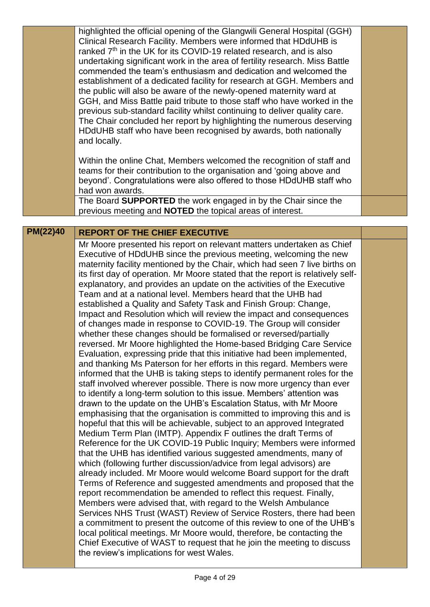|                 | highlighted the official opening of the Glangwili General Hospital (GGH)<br>Clinical Research Facility. Members were informed that HDdUHB is<br>ranked 7 <sup>th</sup> in the UK for its COVID-19 related research, and is also<br>undertaking significant work in the area of fertility research. Miss Battle<br>commended the team's enthusiasm and dedication and welcomed the<br>establishment of a dedicated facility for research at GGH. Members and<br>the public will also be aware of the newly-opened maternity ward at<br>GGH, and Miss Battle paid tribute to those staff who have worked in the<br>previous sub-standard facility whilst continuing to deliver quality care.<br>The Chair concluded her report by highlighting the numerous deserving<br>HDdUHB staff who have been recognised by awards, both nationally<br>and locally.<br>Within the online Chat, Members welcomed the recognition of staff and                                                                                                                                                                                                                                                                                                                                                                                                                                                                                                                                                                                                                                                                                                                                                                                                                                                                                                                                                                                                                                                                                                                                                                                                                                                                                                                                                                                                                          |  |
|-----------------|-----------------------------------------------------------------------------------------------------------------------------------------------------------------------------------------------------------------------------------------------------------------------------------------------------------------------------------------------------------------------------------------------------------------------------------------------------------------------------------------------------------------------------------------------------------------------------------------------------------------------------------------------------------------------------------------------------------------------------------------------------------------------------------------------------------------------------------------------------------------------------------------------------------------------------------------------------------------------------------------------------------------------------------------------------------------------------------------------------------------------------------------------------------------------------------------------------------------------------------------------------------------------------------------------------------------------------------------------------------------------------------------------------------------------------------------------------------------------------------------------------------------------------------------------------------------------------------------------------------------------------------------------------------------------------------------------------------------------------------------------------------------------------------------------------------------------------------------------------------------------------------------------------------------------------------------------------------------------------------------------------------------------------------------------------------------------------------------------------------------------------------------------------------------------------------------------------------------------------------------------------------------------------------------------------------------------------------------------------------|--|
|                 | teams for their contribution to the organisation and 'going above and<br>beyond'. Congratulations were also offered to those HDdUHB staff who<br>had won awards.<br>The Board SUPPORTED the work engaged in by the Chair since the                                                                                                                                                                                                                                                                                                                                                                                                                                                                                                                                                                                                                                                                                                                                                                                                                                                                                                                                                                                                                                                                                                                                                                                                                                                                                                                                                                                                                                                                                                                                                                                                                                                                                                                                                                                                                                                                                                                                                                                                                                                                                                                        |  |
|                 | previous meeting and <b>NOTED</b> the topical areas of interest.                                                                                                                                                                                                                                                                                                                                                                                                                                                                                                                                                                                                                                                                                                                                                                                                                                                                                                                                                                                                                                                                                                                                                                                                                                                                                                                                                                                                                                                                                                                                                                                                                                                                                                                                                                                                                                                                                                                                                                                                                                                                                                                                                                                                                                                                                          |  |
| <b>PM(22)40</b> | <b>REPORT OF THE CHIEF EXECUTIVE</b>                                                                                                                                                                                                                                                                                                                                                                                                                                                                                                                                                                                                                                                                                                                                                                                                                                                                                                                                                                                                                                                                                                                                                                                                                                                                                                                                                                                                                                                                                                                                                                                                                                                                                                                                                                                                                                                                                                                                                                                                                                                                                                                                                                                                                                                                                                                      |  |
|                 | Mr Moore presented his report on relevant matters undertaken as Chief<br>Executive of HDdUHB since the previous meeting, welcoming the new<br>maternity facility mentioned by the Chair, which had seen 7 live births on<br>its first day of operation. Mr Moore stated that the report is relatively self-<br>explanatory, and provides an update on the activities of the Executive<br>Team and at a national level. Members heard that the UHB had<br>established a Quality and Safety Task and Finish Group: Change,<br>Impact and Resolution which will review the impact and consequences<br>of changes made in response to COVID-19. The Group will consider<br>whether these changes should be formalised or reversed/partially<br>reversed. Mr Moore highlighted the Home-based Bridging Care Service<br>Evaluation, expressing pride that this initiative had been implemented,<br>and thanking Ms Paterson for her efforts in this regard. Members were<br>informed that the UHB is taking steps to identify permanent roles for the<br>staff involved wherever possible. There is now more urgency than ever<br>to identify a long-term solution to this issue. Members' attention was<br>drawn to the update on the UHB's Escalation Status, with Mr Moore<br>emphasising that the organisation is committed to improving this and is<br>hopeful that this will be achievable, subject to an approved Integrated<br>Medium Term Plan (IMTP). Appendix F outlines the draft Terms of<br>Reference for the UK COVID-19 Public Inquiry; Members were informed<br>that the UHB has identified various suggested amendments, many of<br>which (following further discussion/advice from legal advisors) are<br>already included. Mr Moore would welcome Board support for the draft<br>Terms of Reference and suggested amendments and proposed that the<br>report recommendation be amended to reflect this request. Finally,<br>Members were advised that, with regard to the Welsh Ambulance<br>Services NHS Trust (WAST) Review of Service Rosters, there had been<br>a commitment to present the outcome of this review to one of the UHB's<br>local political meetings. Mr Moore would, therefore, be contacting the<br>Chief Executive of WAST to request that he join the meeting to discuss<br>the review's implications for west Wales. |  |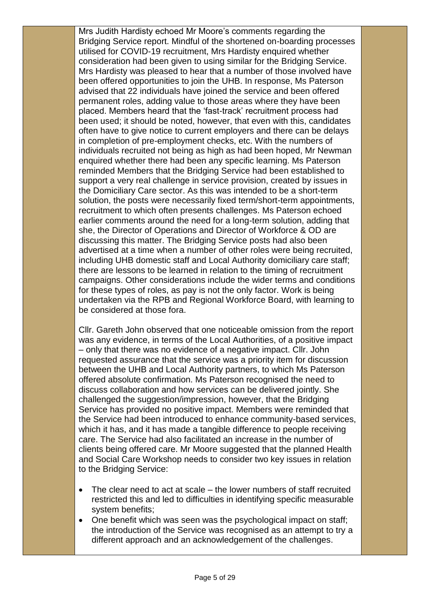Mrs Judith Hardisty echoed Mr Moore's comments regarding the Bridging Service report. Mindful of the shortened on-boarding processes utilised for COVID-19 recruitment, Mrs Hardisty enquired whether consideration had been given to using similar for the Bridging Service. Mrs Hardisty was pleased to hear that a number of those involved have been offered opportunities to join the UHB. In response, Ms Paterson advised that 22 individuals have joined the service and been offered permanent roles, adding value to those areas where they have been placed. Members heard that the 'fast-track' recruitment process had been used; it should be noted, however, that even with this, candidates often have to give notice to current employers and there can be delays in completion of pre-employment checks, etc. With the numbers of individuals recruited not being as high as had been hoped, Mr Newman enquired whether there had been any specific learning. Ms Paterson reminded Members that the Bridging Service had been established to support a very real challenge in service provision, created by issues in the Domiciliary Care sector. As this was intended to be a short-term solution, the posts were necessarily fixed term/short-term appointments, recruitment to which often presents challenges. Ms Paterson echoed earlier comments around the need for a long-term solution, adding that she, the Director of Operations and Director of Workforce & OD are discussing this matter. The Bridging Service posts had also been advertised at a time when a number of other roles were being recruited, including UHB domestic staff and Local Authority domiciliary care staff; there are lessons to be learned in relation to the timing of recruitment campaigns. Other considerations include the wider terms and conditions for these types of roles, as pay is not the only factor. Work is being undertaken via the RPB and Regional Workforce Board, with learning to be considered at those fora.

Cllr. Gareth John observed that one noticeable omission from the report was any evidence, in terms of the Local Authorities, of a positive impact – only that there was no evidence of a negative impact. Cllr. John requested assurance that the service was a priority item for discussion between the UHB and Local Authority partners, to which Ms Paterson offered absolute confirmation. Ms Paterson recognised the need to discuss collaboration and how services can be delivered jointly. She challenged the suggestion/impression, however, that the Bridging Service has provided no positive impact. Members were reminded that the Service had been introduced to enhance community-based services, which it has, and it has made a tangible difference to people receiving care. The Service had also facilitated an increase in the number of clients being offered care. Mr Moore suggested that the planned Health and Social Care Workshop needs to consider two key issues in relation to the Bridging Service:

- The clear need to act at scale the lower numbers of staff recruited restricted this and led to difficulties in identifying specific measurable system benefits;
- One benefit which was seen was the psychological impact on staff; the introduction of the Service was recognised as an attempt to try a different approach and an acknowledgement of the challenges.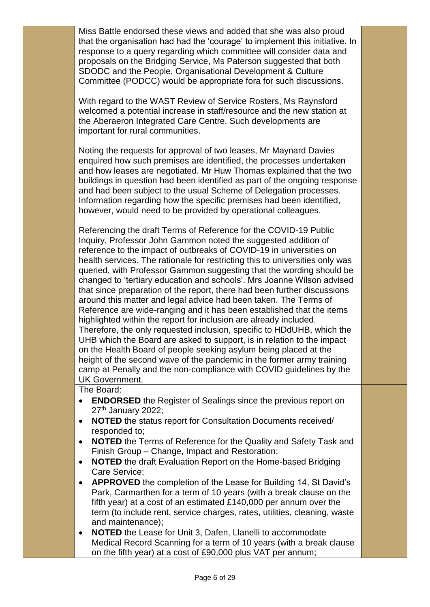Miss Battle endorsed these views and added that she was also proud that the organisation had had the 'courage' to implement this initiative. In response to a query regarding which committee will consider data and proposals on the Bridging Service, Ms Paterson suggested that both SDODC and the People, Organisational Development & Culture Committee (PODCC) would be appropriate fora for such discussions.

With regard to the WAST Review of Service Rosters, Ms Raynsford welcomed a potential increase in staff/resource and the new station at the Aberaeron Integrated Care Centre. Such developments are important for rural communities.

Noting the requests for approval of two leases, Mr Maynard Davies enquired how such premises are identified, the processes undertaken and how leases are negotiated. Mr Huw Thomas explained that the two buildings in question had been identified as part of the ongoing response and had been subject to the usual Scheme of Delegation processes. Information regarding how the specific premises had been identified, however, would need to be provided by operational colleagues.

Referencing the draft Terms of Reference for the COVID-19 Public Inquiry, Professor John Gammon noted the suggested addition of reference to the impact of outbreaks of COVID-19 in universities on health services. The rationale for restricting this to universities only was queried, with Professor Gammon suggesting that the wording should be changed to 'tertiary education and schools'. Mrs Joanne Wilson advised that since preparation of the report, there had been further discussions around this matter and legal advice had been taken. The Terms of Reference are wide-ranging and it has been established that the items highlighted within the report for inclusion are already included. Therefore, the only requested inclusion, specific to HDdUHB, which the UHB which the Board are asked to support, is in relation to the impact on the Health Board of people seeking asylum being placed at the height of the second wave of the pandemic in the former army training camp at Penally and the non-compliance with COVID guidelines by the UK Government.

The Board:

- **ENDORSED** the Register of Sealings since the previous report on  $27<sup>th</sup>$  January 2022;
- **NOTED** the status report for Consultation Documents received/ responded to;
- **NOTED** the Terms of Reference for the Quality and Safety Task and Finish Group – Change, Impact and Restoration;
- **NOTED** the draft Evaluation Report on the Home-based Bridging Care Service;
- **APPROVED** the completion of the Lease for Building 14, St David's Park, Carmarthen for a term of 10 years (with a break clause on the fifth year) at a cost of an estimated £140,000 per annum over the term (to include rent, service charges, rates, utilities, cleaning, waste and maintenance);
- **NOTED** the Lease for Unit 3, Dafen, Llanelli to accommodate Medical Record Scanning for a term of 10 years (with a break clause on the fifth year) at a cost of £90,000 plus VAT per annum;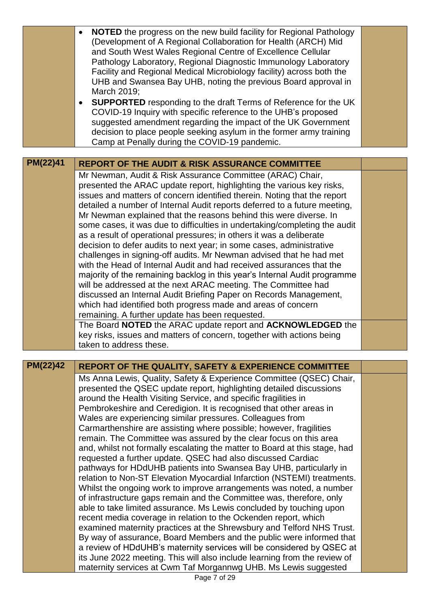|          | <b>NOTED</b> the progress on the new build facility for Regional Pathology<br>(Development of A Regional Collaboration for Health (ARCH) Mid<br>and South West Wales Regional Centre of Excellence Cellular<br>Pathology Laboratory, Regional Diagnostic Immunology Laboratory<br>Facility and Regional Medical Microbiology facility) across both the<br>UHB and Swansea Bay UHB, noting the previous Board approval in<br>March 2019;<br><b>SUPPORTED</b> responding to the draft Terms of Reference for the UK<br>COVID-19 Inquiry with specific reference to the UHB's proposed<br>suggested amendment regarding the impact of the UK Government<br>decision to place people seeking asylum in the former army training<br>Camp at Penally during the COVID-19 pandemic.                                                                                                                                                                                                                                                                                                                                                                                                                                                                                                                                                                                                                                                                                 |  |
|----------|--------------------------------------------------------------------------------------------------------------------------------------------------------------------------------------------------------------------------------------------------------------------------------------------------------------------------------------------------------------------------------------------------------------------------------------------------------------------------------------------------------------------------------------------------------------------------------------------------------------------------------------------------------------------------------------------------------------------------------------------------------------------------------------------------------------------------------------------------------------------------------------------------------------------------------------------------------------------------------------------------------------------------------------------------------------------------------------------------------------------------------------------------------------------------------------------------------------------------------------------------------------------------------------------------------------------------------------------------------------------------------------------------------------------------------------------------------------|--|
|          |                                                                                                                                                                                                                                                                                                                                                                                                                                                                                                                                                                                                                                                                                                                                                                                                                                                                                                                                                                                                                                                                                                                                                                                                                                                                                                                                                                                                                                                              |  |
| PM(22)41 | <b>REPORT OF THE AUDIT &amp; RISK ASSURANCE COMMITTEE</b>                                                                                                                                                                                                                                                                                                                                                                                                                                                                                                                                                                                                                                                                                                                                                                                                                                                                                                                                                                                                                                                                                                                                                                                                                                                                                                                                                                                                    |  |
|          | Mr Newman, Audit & Risk Assurance Committee (ARAC) Chair,<br>presented the ARAC update report, highlighting the various key risks,<br>issues and matters of concern identified therein. Noting that the report<br>detailed a number of Internal Audit reports deferred to a future meeting,<br>Mr Newman explained that the reasons behind this were diverse. In<br>some cases, it was due to difficulties in undertaking/completing the audit<br>as a result of operational pressures; in others it was a deliberate<br>decision to defer audits to next year; in some cases, administrative<br>challenges in signing-off audits. Mr Newman advised that he had met<br>with the Head of Internal Audit and had received assurances that the<br>majority of the remaining backlog in this year's Internal Audit programme<br>will be addressed at the next ARAC meeting. The Committee had<br>discussed an Internal Audit Briefing Paper on Records Management,<br>which had identified both progress made and areas of concern<br>remaining. A further update has been requested.<br>The Board NOTED the ARAC update report and ACKNOWLEDGED the                                                                                                                                                                                                                                                                                                            |  |
|          | key risks, issues and matters of concern, together with actions being<br>taken to address these.                                                                                                                                                                                                                                                                                                                                                                                                                                                                                                                                                                                                                                                                                                                                                                                                                                                                                                                                                                                                                                                                                                                                                                                                                                                                                                                                                             |  |
|          |                                                                                                                                                                                                                                                                                                                                                                                                                                                                                                                                                                                                                                                                                                                                                                                                                                                                                                                                                                                                                                                                                                                                                                                                                                                                                                                                                                                                                                                              |  |
| PM(22)42 | <b>REPORT OF THE QUALITY, SAFETY &amp; EXPERIENCE COMMITTEE</b>                                                                                                                                                                                                                                                                                                                                                                                                                                                                                                                                                                                                                                                                                                                                                                                                                                                                                                                                                                                                                                                                                                                                                                                                                                                                                                                                                                                              |  |
|          | Ms Anna Lewis, Quality, Safety & Experience Committee (QSEC) Chair,<br>presented the QSEC update report, highlighting detailed discussions<br>around the Health Visiting Service, and specific fragilities in<br>Pembrokeshire and Ceredigion. It is recognised that other areas in<br>Wales are experiencing similar pressures. Colleagues from<br>Carmarthenshire are assisting where possible; however, fragilities<br>remain. The Committee was assured by the clear focus on this area<br>and, whilst not formally escalating the matter to Board at this stage, had<br>requested a further update. QSEC had also discussed Cardiac<br>pathways for HDdUHB patients into Swansea Bay UHB, particularly in<br>relation to Non-ST Elevation Myocardial Infarction (NSTEMI) treatments.<br>Whilst the ongoing work to improve arrangements was noted, a number<br>of infrastructure gaps remain and the Committee was, therefore, only<br>able to take limited assurance. Ms Lewis concluded by touching upon<br>recent media coverage in relation to the Ockenden report, which<br>examined maternity practices at the Shrewsbury and Telford NHS Trust.<br>By way of assurance, Board Members and the public were informed that<br>a review of HDdUHB's maternity services will be considered by QSEC at<br>its June 2022 meeting. This will also include learning from the review of<br>maternity services at Cwm Taf Morgannwg UHB. Ms Lewis suggested |  |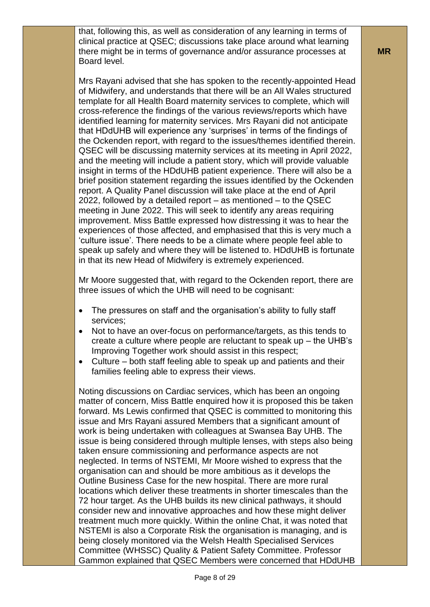that, following this, as well as consideration of any learning in terms of clinical practice at QSEC; discussions take place around what learning there might be in terms of governance and/or assurance processes at Board level.

Mrs Rayani advised that she has spoken to the recently-appointed Head of Midwifery, and understands that there will be an All Wales structured template for all Health Board maternity services to complete, which will cross-reference the findings of the various reviews/reports which have identified learning for maternity services. Mrs Rayani did not anticipate that HDdUHB will experience any 'surprises' in terms of the findings of the Ockenden report, with regard to the issues/themes identified therein. QSEC will be discussing maternity services at its meeting in April 2022, and the meeting will include a patient story, which will provide valuable insight in terms of the HDdUHB patient experience. There will also be a brief position statement regarding the issues identified by the Ockenden report. A Quality Panel discussion will take place at the end of April 2022, followed by a detailed report – as mentioned – to the QSEC meeting in June 2022. This will seek to identify any areas requiring improvement. Miss Battle expressed how distressing it was to hear the experiences of those affected, and emphasised that this is very much a 'culture issue'. There needs to be a climate where people feel able to speak up safely and where they will be listened to. HDdUHB is fortunate in that its new Head of Midwifery is extremely experienced.

Mr Moore suggested that, with regard to the Ockenden report, there are three issues of which the UHB will need to be cognisant:

- The pressures on staff and the organisation's ability to fully staff services;
- Not to have an over-focus on performance/targets, as this tends to create a culture where people are reluctant to speak up – the UHB's Improving Together work should assist in this respect;
- Culture both staff feeling able to speak up and patients and their families feeling able to express their views.

Noting discussions on Cardiac services, which has been an ongoing matter of concern, Miss Battle enquired how it is proposed this be taken forward. Ms Lewis confirmed that QSEC is committed to monitoring this issue and Mrs Rayani assured Members that a significant amount of work is being undertaken with colleagues at Swansea Bay UHB. The issue is being considered through multiple lenses, with steps also being taken ensure commissioning and performance aspects are not neglected. In terms of NSTEMI, Mr Moore wished to express that the organisation can and should be more ambitious as it develops the Outline Business Case for the new hospital. There are more rural locations which deliver these treatments in shorter timescales than the 72 hour target. As the UHB builds its new clinical pathways, it should consider new and innovative approaches and how these might deliver treatment much more quickly. Within the online Chat, it was noted that NSTEMI is also a Corporate Risk the organisation is managing, and is being closely monitored via the Welsh Health Specialised Services Committee (WHSSC) Quality & Patient Safety Committee. Professor Gammon explained that QSEC Members were concerned that HDdUHB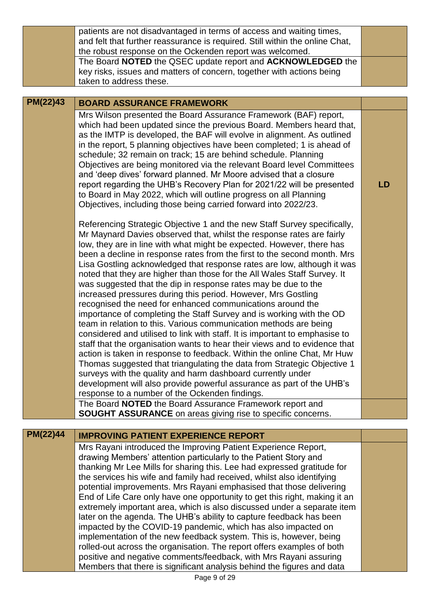|          | patients are not disadvantaged in terms of access and waiting times,<br>and felt that further reassurance is required. Still within the online Chat,                                                                                                                                                                                                                                                                                                                                                                                                                                                                                                                                                                                                                                                                                                                                                                                                                                                                                                                                                                                                                                                                                                                                                                     |    |
|----------|--------------------------------------------------------------------------------------------------------------------------------------------------------------------------------------------------------------------------------------------------------------------------------------------------------------------------------------------------------------------------------------------------------------------------------------------------------------------------------------------------------------------------------------------------------------------------------------------------------------------------------------------------------------------------------------------------------------------------------------------------------------------------------------------------------------------------------------------------------------------------------------------------------------------------------------------------------------------------------------------------------------------------------------------------------------------------------------------------------------------------------------------------------------------------------------------------------------------------------------------------------------------------------------------------------------------------|----|
|          | the robust response on the Ockenden report was welcomed.                                                                                                                                                                                                                                                                                                                                                                                                                                                                                                                                                                                                                                                                                                                                                                                                                                                                                                                                                                                                                                                                                                                                                                                                                                                                 |    |
|          | The Board NOTED the QSEC update report and ACKNOWLEDGED the                                                                                                                                                                                                                                                                                                                                                                                                                                                                                                                                                                                                                                                                                                                                                                                                                                                                                                                                                                                                                                                                                                                                                                                                                                                              |    |
|          | key risks, issues and matters of concern, together with actions being                                                                                                                                                                                                                                                                                                                                                                                                                                                                                                                                                                                                                                                                                                                                                                                                                                                                                                                                                                                                                                                                                                                                                                                                                                                    |    |
|          | taken to address these.                                                                                                                                                                                                                                                                                                                                                                                                                                                                                                                                                                                                                                                                                                                                                                                                                                                                                                                                                                                                                                                                                                                                                                                                                                                                                                  |    |
| PM(22)43 | <b>BOARD ASSURANCE FRAMEWORK</b>                                                                                                                                                                                                                                                                                                                                                                                                                                                                                                                                                                                                                                                                                                                                                                                                                                                                                                                                                                                                                                                                                                                                                                                                                                                                                         |    |
|          | Mrs Wilson presented the Board Assurance Framework (BAF) report,<br>which had been updated since the previous Board. Members heard that,<br>as the IMTP is developed, the BAF will evolve in alignment. As outlined<br>in the report, 5 planning objectives have been completed; 1 is ahead of<br>schedule; 32 remain on track; 15 are behind schedule. Planning<br>Objectives are being monitored via the relevant Board level Committees<br>and 'deep dives' forward planned. Mr Moore advised that a closure<br>report regarding the UHB's Recovery Plan for 2021/22 will be presented<br>to Board in May 2022, which will outline progress on all Planning<br>Objectives, including those being carried forward into 2022/23.                                                                                                                                                                                                                                                                                                                                                                                                                                                                                                                                                                                        | LD |
|          | Referencing Strategic Objective 1 and the new Staff Survey specifically,<br>Mr Maynard Davies observed that, whilst the response rates are fairly<br>low, they are in line with what might be expected. However, there has<br>been a decline in response rates from the first to the second month. Mrs<br>Lisa Gostling acknowledged that response rates are low, although it was<br>noted that they are higher than those for the All Wales Staff Survey. It<br>was suggested that the dip in response rates may be due to the<br>increased pressures during this period. However, Mrs Gostling<br>recognised the need for enhanced communications around the<br>importance of completing the Staff Survey and is working with the OD<br>team in relation to this. Various communication methods are being<br>considered and utilised to link with staff. It is important to emphasise to<br>staff that the organisation wants to hear their views and to evidence that<br>action is taken in response to feedback. Within the online Chat, Mr Huw<br>Thomas suggested that triangulating the data from Strategic Objective 1<br>surveys with the quality and harm dashboard currently under<br>development will also provide powerful assurance as part of the UHB's<br>response to a number of the Ockenden findings. |    |
|          | The Board NOTED the Board Assurance Framework report and                                                                                                                                                                                                                                                                                                                                                                                                                                                                                                                                                                                                                                                                                                                                                                                                                                                                                                                                                                                                                                                                                                                                                                                                                                                                 |    |
|          | <b>SOUGHT ASSURANCE</b> on areas giving rise to specific concerns.                                                                                                                                                                                                                                                                                                                                                                                                                                                                                                                                                                                                                                                                                                                                                                                                                                                                                                                                                                                                                                                                                                                                                                                                                                                       |    |
| PM(22)44 |                                                                                                                                                                                                                                                                                                                                                                                                                                                                                                                                                                                                                                                                                                                                                                                                                                                                                                                                                                                                                                                                                                                                                                                                                                                                                                                          |    |
|          | <b>IMPROVING PATIENT EXPERIENCE REPORT</b>                                                                                                                                                                                                                                                                                                                                                                                                                                                                                                                                                                                                                                                                                                                                                                                                                                                                                                                                                                                                                                                                                                                                                                                                                                                                               |    |
|          | Mrs Rayani introduced the Improving Patient Experience Report,<br>drawing Members' attention particularly to the Patient Story and<br>thanking Mr Lee Mills for sharing this. Lee had expressed gratitude for<br>the services his wife and family had received, whilst also identifying<br>potential improvements. Mrs Rayani emphasised that those delivering<br>End of Life Care only have one opportunity to get this right, making it an<br>extremely important area, which is also discussed under a separate item<br>later on the agenda. The UHB's ability to capture feedback has been<br>impacted by the COVID-19 pandemic, which has also impacted on<br>implementation of the new feedback system. This is, however, being                                                                                                                                                                                                                                                                                                                                                                                                                                                                                                                                                                                    |    |

rolled-out across the organisation. The report offers examples of both positive and negative comments/feedback, with Mrs Rayani assuring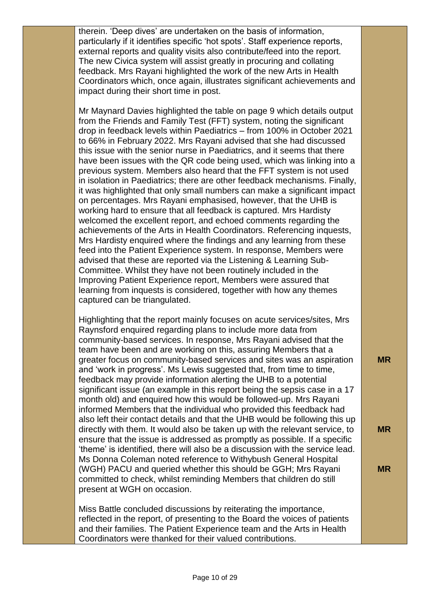therein. 'Deep dives' are undertaken on the basis of information, particularly if it identifies specific 'hot spots'. Staff experience reports, external reports and quality visits also contribute/feed into the report. The new Civica system will assist greatly in procuring and collating feedback. Mrs Rayani highlighted the work of the new Arts in Health Coordinators which, once again, illustrates significant achievements and impact during their short time in post.

Mr Maynard Davies highlighted the table on page 9 which details output from the Friends and Family Test (FFT) system, noting the significant drop in feedback levels within Paediatrics – from 100% in October 2021 to 66% in February 2022. Mrs Rayani advised that she had discussed this issue with the senior nurse in Paediatrics, and it seems that there have been issues with the QR code being used, which was linking into a previous system. Members also heard that the FFT system is not used in isolation in Paediatrics; there are other feedback mechanisms. Finally, it was highlighted that only small numbers can make a significant impact on percentages. Mrs Rayani emphasised, however, that the UHB is working hard to ensure that all feedback is captured. Mrs Hardisty welcomed the excellent report, and echoed comments regarding the achievements of the Arts in Health Coordinators. Referencing inquests, Mrs Hardisty enquired where the findings and any learning from these feed into the Patient Experience system. In response, Members were advised that these are reported via the Listening & Learning Sub-Committee. Whilst they have not been routinely included in the Improving Patient Experience report, Members were assured that learning from inquests is considered, together with how any themes captured can be triangulated.

Highlighting that the report mainly focuses on acute services/sites, Mrs Raynsford enquired regarding plans to include more data from community-based services. In response, Mrs Rayani advised that the team have been and are working on this, assuring Members that a greater focus on community-based services and sites was an aspiration and 'work in progress'. Ms Lewis suggested that, from time to time, feedback may provide information alerting the UHB to a potential significant issue (an example in this report being the sepsis case in a 17 month old) and enquired how this would be followed-up. Mrs Rayani informed Members that the individual who provided this feedback had also left their contact details and that the UHB would be following this up directly with them. It would also be taken up with the relevant service, to ensure that the issue is addressed as promptly as possible. If a specific 'theme' is identified, there will also be a discussion with the service lead. Ms Donna Coleman noted reference to Withybush General Hospital (WGH) PACU and queried whether this should be GGH; Mrs Rayani committed to check, whilst reminding Members that children do still present at WGH on occasion.

Miss Battle concluded discussions by reiterating the importance, reflected in the report, of presenting to the Board the voices of patients and their families. The Patient Experience team and the Arts in Health Coordinators were thanked for their valued contributions.

**MR**

**MR**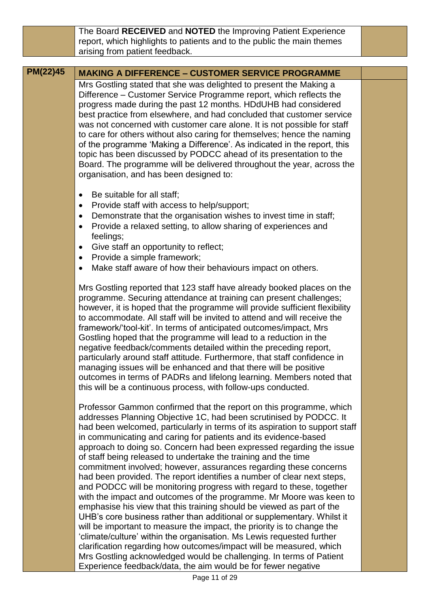The Board **RECEIVED** and **NOTED** the Improving Patient Experience report, which highlights to patients and to the public the main themes arising from patient feedback.

## **PM(22)45 MAKING A DIFFERENCE – CUSTOMER SERVICE PROGRAMME**

Mrs Gostling stated that she was delighted to present the Making a Difference – Customer Service Programme report, which reflects the progress made during the past 12 months. HDdUHB had considered best practice from elsewhere, and had concluded that customer service was not concerned with customer care alone. It is not possible for staff to care for others without also caring for themselves; hence the naming of the programme 'Making a Difference'. As indicated in the report, this topic has been discussed by PODCC ahead of its presentation to the Board. The programme will be delivered throughout the year, across the organisation, and has been designed to:

- Be suitable for all staff;
- Provide staff with access to help/support;
- Demonstrate that the organisation wishes to invest time in staff;
- Provide a relaxed setting, to allow sharing of experiences and feelings;
- Give staff an opportunity to reflect;
- Provide a simple framework;
- Make staff aware of how their behaviours impact on others.

Mrs Gostling reported that 123 staff have already booked places on the programme. Securing attendance at training can present challenges; however, it is hoped that the programme will provide sufficient flexibility to accommodate. All staff will be invited to attend and will receive the framework/'tool-kit'. In terms of anticipated outcomes/impact, Mrs Gostling hoped that the programme will lead to a reduction in the negative feedback/comments detailed within the preceding report, particularly around staff attitude. Furthermore, that staff confidence in managing issues will be enhanced and that there will be positive outcomes in terms of PADRs and lifelong learning. Members noted that this will be a continuous process, with follow-ups conducted.

Professor Gammon confirmed that the report on this programme, which addresses Planning Objective 1C, had been scrutinised by PODCC. It had been welcomed, particularly in terms of its aspiration to support staff in communicating and caring for patients and its evidence-based approach to doing so. Concern had been expressed regarding the issue of staff being released to undertake the training and the time commitment involved; however, assurances regarding these concerns had been provided. The report identifies a number of clear next steps, and PODCC will be monitoring progress with regard to these, together with the impact and outcomes of the programme. Mr Moore was keen to emphasise his view that this training should be viewed as part of the UHB's core business rather than additional or supplementary. Whilst it will be important to measure the impact, the priority is to change the 'climate/culture' within the organisation. Ms Lewis requested further clarification regarding how outcomes/impact will be measured, which Mrs Gostling acknowledged would be challenging. In terms of Patient Experience feedback/data, the aim would be for fewer negative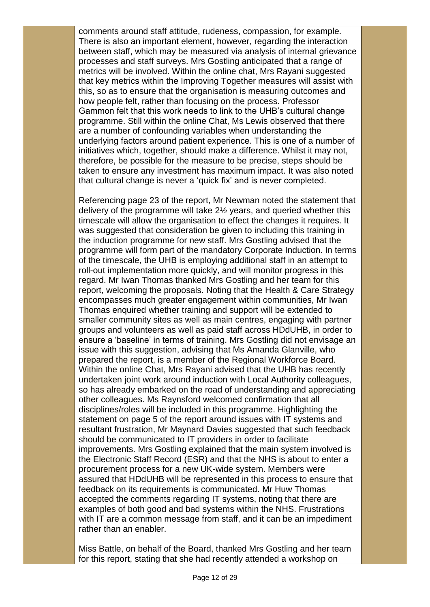comments around staff attitude, rudeness, compassion, for example. There is also an important element, however, regarding the interaction between staff, which may be measured via analysis of internal grievance processes and staff surveys. Mrs Gostling anticipated that a range of metrics will be involved. Within the online chat, Mrs Rayani suggested that key metrics within the Improving Together measures will assist with this, so as to ensure that the organisation is measuring outcomes and how people felt, rather than focusing on the process. Professor Gammon felt that this work needs to link to the UHB's cultural change programme. Still within the online Chat, Ms Lewis observed that there are a number of confounding variables when understanding the underlying factors around patient experience. This is one of a number of initiatives which, together, should make a difference. Whilst it may not, therefore, be possible for the measure to be precise, steps should be taken to ensure any investment has maximum impact. It was also noted that cultural change is never a 'quick fix' and is never completed.

Referencing page 23 of the report, Mr Newman noted the statement that delivery of the programme will take 2½ years, and queried whether this timescale will allow the organisation to effect the changes it requires. It was suggested that consideration be given to including this training in the induction programme for new staff. Mrs Gostling advised that the programme will form part of the mandatory Corporate Induction. In terms of the timescale, the UHB is employing additional staff in an attempt to roll-out implementation more quickly, and will monitor progress in this regard. Mr Iwan Thomas thanked Mrs Gostling and her team for this report, welcoming the proposals. Noting that the Health & Care Strategy encompasses much greater engagement within communities, Mr Iwan Thomas enquired whether training and support will be extended to smaller community sites as well as main centres, engaging with partner groups and volunteers as well as paid staff across HDdUHB, in order to ensure a 'baseline' in terms of training. Mrs Gostling did not envisage an issue with this suggestion, advising that Ms Amanda Glanville, who prepared the report, is a member of the Regional Workforce Board. Within the online Chat, Mrs Rayani advised that the UHB has recently undertaken joint work around induction with Local Authority colleagues, so has already embarked on the road of understanding and appreciating other colleagues. Ms Raynsford welcomed confirmation that all disciplines/roles will be included in this programme. Highlighting the statement on page 5 of the report around issues with IT systems and resultant frustration, Mr Maynard Davies suggested that such feedback should be communicated to IT providers in order to facilitate improvements. Mrs Gostling explained that the main system involved is the Electronic Staff Record (ESR) and that the NHS is about to enter a procurement process for a new UK-wide system. Members were assured that HDdUHB will be represented in this process to ensure that feedback on its requirements is communicated. Mr Huw Thomas accepted the comments regarding IT systems, noting that there are examples of both good and bad systems within the NHS. Frustrations with IT are a common message from staff, and it can be an impediment rather than an enabler.

Miss Battle, on behalf of the Board, thanked Mrs Gostling and her team for this report, stating that she had recently attended a workshop on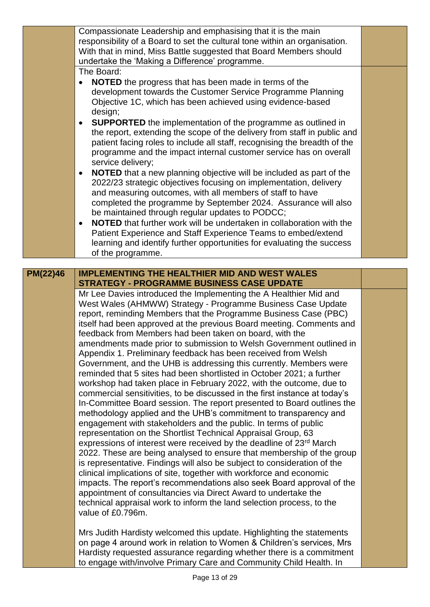|          | Compassionate Leadership and emphasising that it is the main                                                                                    |  |
|----------|-------------------------------------------------------------------------------------------------------------------------------------------------|--|
|          | responsibility of a Board to set the cultural tone within an organisation.                                                                      |  |
|          | With that in mind, Miss Battle suggested that Board Members should                                                                              |  |
|          | undertake the 'Making a Difference' programme.                                                                                                  |  |
|          | The Board:                                                                                                                                      |  |
|          | <b>NOTED</b> the progress that has been made in terms of the<br>$\bullet$                                                                       |  |
|          | development towards the Customer Service Programme Planning                                                                                     |  |
|          | Objective 1C, which has been achieved using evidence-based                                                                                      |  |
|          | design;                                                                                                                                         |  |
|          | <b>SUPPORTED</b> the implementation of the programme as outlined in<br>٠                                                                        |  |
|          | the report, extending the scope of the delivery from staff in public and                                                                        |  |
|          | patient facing roles to include all staff, recognising the breadth of the<br>programme and the impact internal customer service has on overall  |  |
|          | service delivery;                                                                                                                               |  |
|          | <b>NOTED</b> that a new planning objective will be included as part of the<br>٠                                                                 |  |
|          | 2022/23 strategic objectives focusing on implementation, delivery                                                                               |  |
|          | and measuring outcomes, with all members of staff to have                                                                                       |  |
|          | completed the programme by September 2024. Assurance will also                                                                                  |  |
|          | be maintained through regular updates to PODCC;                                                                                                 |  |
|          | NOTED that further work will be undertaken in collaboration with the<br>$\bullet$                                                               |  |
|          | Patient Experience and Staff Experience Teams to embed/extend                                                                                   |  |
|          | learning and identify further opportunities for evaluating the success                                                                          |  |
|          | of the programme.                                                                                                                               |  |
|          |                                                                                                                                                 |  |
| PM(22)46 | <b>IMPLEMENTING THE HEALTHIER MID AND WEST WALES</b>                                                                                            |  |
|          | <b>STRATEGY - PROGRAMME BUSINESS CASE UPDATE</b>                                                                                                |  |
|          | Mr Lee Davies introduced the Implementing the A Healthier Mid and                                                                               |  |
|          | West Wales (AHMWW) Strategy - Programme Business Case Update                                                                                    |  |
|          | report, reminding Members that the Programme Business Case (PBC)<br>itself had been approved at the previous Board meeting. Comments and        |  |
|          | feedback from Members had been taken on board, with the                                                                                         |  |
|          | amendments made prior to submission to Welsh Government outlined in                                                                             |  |
|          | Appendix 1. Preliminary feedback has been received from Welsh                                                                                   |  |
|          | Government, and the UHB is addressing this currently. Members were                                                                              |  |
|          | reminded that 5 sites had been shortlisted in October 2021; a further                                                                           |  |
|          | workshop had taken place in February 2022, with the outcome, due to                                                                             |  |
|          | commercial sensitivities, to be discussed in the first instance at today's                                                                      |  |
|          | In-Committee Board session. The report presented to Board outlines the                                                                          |  |
|          | methodology applied and the UHB's commitment to transparency and                                                                                |  |
|          | engagement with stakeholders and the public. In terms of public                                                                                 |  |
|          |                                                                                                                                                 |  |
|          | representation on the Shortlist Technical Appraisal Group, 63                                                                                   |  |
|          | expressions of interest were received by the deadline of 23 <sup>rd</sup> March                                                                 |  |
|          | 2022. These are being analysed to ensure that membership of the group                                                                           |  |
|          | is representative. Findings will also be subject to consideration of the<br>clinical implications of site, together with workforce and economic |  |

impacts. The report's recommendations also seek Board approval of the appointment of consultancies via Direct Award to undertake the technical appraisal work to inform the land selection process, to the value of £0.796m.

Mrs Judith Hardisty welcomed this update. Highlighting the statements on page 4 around work in relation to Women & Children's services, Mrs Hardisty requested assurance regarding whether there is a commitment to engage with/involve Primary Care and Community Child Health. In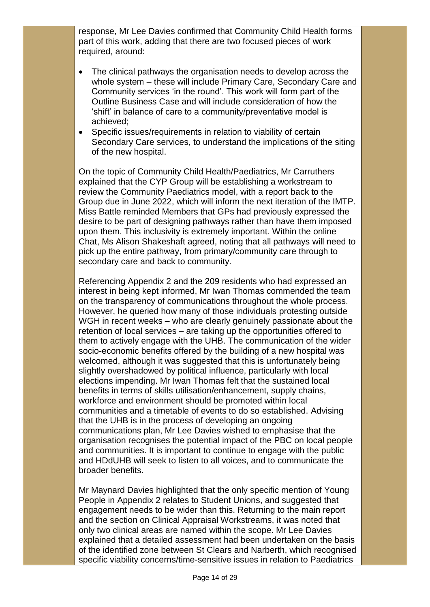response, Mr Lee Davies confirmed that Community Child Health forms part of this work, adding that there are two focused pieces of work required, around:

- The clinical pathways the organisation needs to develop across the whole system – these will include Primary Care, Secondary Care and Community services 'in the round'. This work will form part of the Outline Business Case and will include consideration of how the 'shift' in balance of care to a community/preventative model is achieved;
- Specific issues/requirements in relation to viability of certain Secondary Care services, to understand the implications of the siting of the new hospital.

On the topic of Community Child Health/Paediatrics, Mr Carruthers explained that the CYP Group will be establishing a workstream to review the Community Paediatrics model, with a report back to the Group due in June 2022, which will inform the next iteration of the IMTP. Miss Battle reminded Members that GPs had previously expressed the desire to be part of designing pathways rather than have them imposed upon them. This inclusivity is extremely important. Within the online Chat, Ms Alison Shakeshaft agreed, noting that all pathways will need to pick up the entire pathway, from primary/community care through to secondary care and back to community.

Referencing Appendix 2 and the 209 residents who had expressed an interest in being kept informed, Mr Iwan Thomas commended the team on the transparency of communications throughout the whole process. However, he queried how many of those individuals protesting outside WGH in recent weeks – who are clearly genuinely passionate about the retention of local services – are taking up the opportunities offered to them to actively engage with the UHB. The communication of the wider socio-economic benefits offered by the building of a new hospital was welcomed, although it was suggested that this is unfortunately being slightly overshadowed by political influence, particularly with local elections impending. Mr Iwan Thomas felt that the sustained local benefits in terms of skills utilisation/enhancement, supply chains, workforce and environment should be promoted within local communities and a timetable of events to do so established. Advising that the UHB is in the process of developing an ongoing communications plan, Mr Lee Davies wished to emphasise that the organisation recognises the potential impact of the PBC on local people and communities. It is important to continue to engage with the public and HDdUHB will seek to listen to all voices, and to communicate the broader benefits.

Mr Maynard Davies highlighted that the only specific mention of Young People in Appendix 2 relates to Student Unions, and suggested that engagement needs to be wider than this. Returning to the main report and the section on Clinical Appraisal Workstreams, it was noted that only two clinical areas are named within the scope. Mr Lee Davies explained that a detailed assessment had been undertaken on the basis of the identified zone between St Clears and Narberth, which recognised specific viability concerns/time-sensitive issues in relation to Paediatrics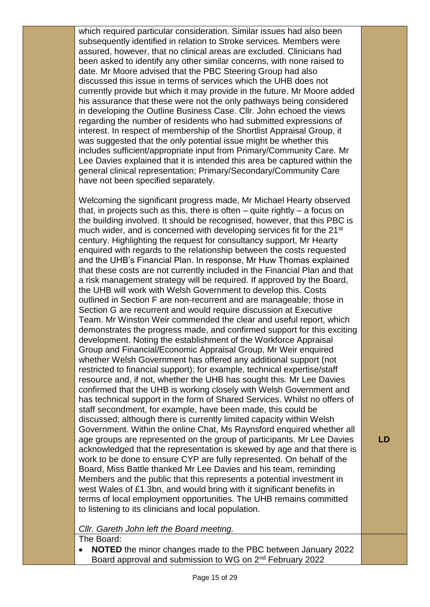which required particular consideration. Similar issues had also been subsequently identified in relation to Stroke services. Members were assured, however, that no clinical areas are excluded. Clinicians had been asked to identify any other similar concerns, with none raised to date. Mr Moore advised that the PBC Steering Group had also discussed this issue in terms of services which the UHB does not currently provide but which it may provide in the future. Mr Moore added his assurance that these were not the only pathways being considered in developing the Outline Business Case. Cllr. John echoed the views regarding the number of residents who had submitted expressions of interest. In respect of membership of the Shortlist Appraisal Group, it was suggested that the only potential issue might be whether this includes sufficient/appropriate input from Primary/Community Care. Mr Lee Davies explained that it is intended this area be captured within the general clinical representation; Primary/Secondary/Community Care have not been specified separately.

Welcoming the significant progress made, Mr Michael Hearty observed that, in projects such as this, there is often  $-$  quite rightly  $-$  a focus on the building involved. It should be recognised, however, that this PBC is much wider, and is concerned with developing services fit for the 21<sup>st</sup> century. Highlighting the request for consultancy support, Mr Hearty enquired with regards to the relationship between the costs requested and the UHB's Financial Plan. In response, Mr Huw Thomas explained that these costs are not currently included in the Financial Plan and that a risk management strategy will be required. If approved by the Board, the UHB will work with Welsh Government to develop this. Costs outlined in Section F are non-recurrent and are manageable; those in Section G are recurrent and would require discussion at Executive Team. Mr Winston Weir commended the clear and useful report, which demonstrates the progress made, and confirmed support for this exciting development. Noting the establishment of the Workforce Appraisal Group and Financial/Economic Appraisal Group, Mr Weir enquired whether Welsh Government has offered any additional support (not restricted to financial support); for example, technical expertise/staff resource and, if not, whether the UHB has sought this. Mr Lee Davies confirmed that the UHB is working closely with Welsh Government and has technical support in the form of Shared Services. Whilst no offers of staff secondment, for example, have been made, this could be discussed; although there is currently limited capacity within Welsh Government. Within the online Chat, Ms Raynsford enquired whether all age groups are represented on the group of participants. Mr Lee Davies acknowledged that the representation is skewed by age and that there is work to be done to ensure CYP are fully represented. On behalf of the Board, Miss Battle thanked Mr Lee Davies and his team, reminding Members and the public that this represents a potential investment in west Wales of £1.3bn, and would bring with it significant benefits in terms of local employment opportunities. The UHB remains committed to listening to its clinicians and local population.

## *Cllr. Gareth John left the Board meeting.*

The Board:

 **NOTED** the minor changes made to the PBC between January 2022 Board approval and submission to WG on 2nd February 2022

**LD**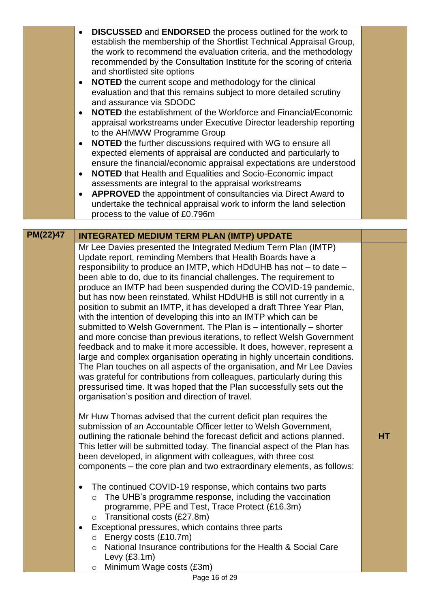|  |  | <b>DISCUSSED</b> and <b>ENDORSED</b> the process outlined for the work to<br>$\bullet$<br>establish the membership of the Shortlist Technical Appraisal Group,<br>the work to recommend the evaluation criteria, and the methodology<br>recommended by the Consultation Institute for the scoring of criteria<br>and shortlisted site options<br><b>NOTED</b> the current scope and methodology for the clinical<br>$\bullet$<br>evaluation and that this remains subject to more detailed scrutiny<br>and assurance via SDODC<br><b>NOTED</b> the establishment of the Workforce and Financial/Economic<br>$\bullet$<br>appraisal workstreams under Executive Director leadership reporting<br>to the AHMWW Programme Group<br>NOTED the further discussions required with WG to ensure all<br>$\bullet$<br>expected elements of appraisal are conducted and particularly to<br>ensure the financial/economic appraisal expectations are understood<br><b>NOTED</b> that Health and Equalities and Socio-Economic impact<br>$\bullet$<br>assessments are integral to the appraisal workstreams<br><b>APPROVED</b> the appointment of consultancies via Direct Award to<br>٠<br>undertake the technical appraisal work to inform the land selection<br>process to the value of £0.796m |  |
|--|--|----------------------------------------------------------------------------------------------------------------------------------------------------------------------------------------------------------------------------------------------------------------------------------------------------------------------------------------------------------------------------------------------------------------------------------------------------------------------------------------------------------------------------------------------------------------------------------------------------------------------------------------------------------------------------------------------------------------------------------------------------------------------------------------------------------------------------------------------------------------------------------------------------------------------------------------------------------------------------------------------------------------------------------------------------------------------------------------------------------------------------------------------------------------------------------------------------------------------------------------------------------------------------------------|--|
|--|--|----------------------------------------------------------------------------------------------------------------------------------------------------------------------------------------------------------------------------------------------------------------------------------------------------------------------------------------------------------------------------------------------------------------------------------------------------------------------------------------------------------------------------------------------------------------------------------------------------------------------------------------------------------------------------------------------------------------------------------------------------------------------------------------------------------------------------------------------------------------------------------------------------------------------------------------------------------------------------------------------------------------------------------------------------------------------------------------------------------------------------------------------------------------------------------------------------------------------------------------------------------------------------------------|--|

**PM(22)47 INTEGRATED MEDIUM TERM PLAN (IMTP) UPDATE** Mr Lee Davies presented the Integrated Medium Term Plan (IMTP) Update report, reminding Members that Health Boards have a responsibility to produce an IMTP, which HDdUHB has not – to date – been able to do, due to its financial challenges. The requirement to produce an IMTP had been suspended during the COVID-19 pandemic, but has now been reinstated. Whilst HDdUHB is still not currently in a position to submit an IMTP, it has developed a draft Three Year Plan, with the intention of developing this into an IMTP which can be submitted to Welsh Government. The Plan is – intentionally – shorter and more concise than previous iterations, to reflect Welsh Government feedback and to make it more accessible. It does, however, represent a large and complex organisation operating in highly uncertain conditions. The Plan touches on all aspects of the organisation, and Mr Lee Davies was grateful for contributions from colleagues, particularly during this pressurised time. It was hoped that the Plan successfully sets out the organisation's position and direction of travel.

> Mr Huw Thomas advised that the current deficit plan requires the submission of an Accountable Officer letter to Welsh Government, outlining the rationale behind the forecast deficit and actions planned. This letter will be submitted today. The financial aspect of the Plan has been developed, in alignment with colleagues, with three cost components – the core plan and two extraordinary elements, as follows:

- The continued COVID-19 response, which contains two parts
	- o The UHB's programme response, including the vaccination programme, PPE and Test, Trace Protect (£16.3m) o Transitional costs (£27.8m)
- Exceptional pressures, which contains three parts
	- o Energy costs (£10.7m)
	- o National Insurance contributions for the Health & Social Care Levy (£3.1m)
	- o Minimum Wage costs (£3m)

**HT**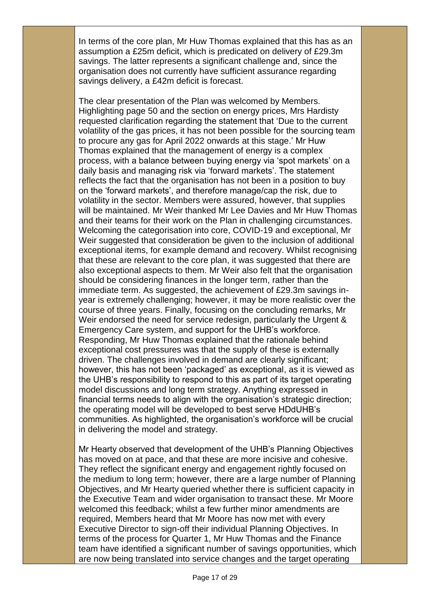In terms of the core plan, Mr Huw Thomas explained that this has as an assumption a £25m deficit, which is predicated on delivery of £29.3m savings. The latter represents a significant challenge and, since the organisation does not currently have sufficient assurance regarding savings delivery, a £42m deficit is forecast.

The clear presentation of the Plan was welcomed by Members. Highlighting page 50 and the section on energy prices, Mrs Hardisty requested clarification regarding the statement that 'Due to the current volatility of the gas prices, it has not been possible for the sourcing team to procure any gas for April 2022 onwards at this stage.' Mr Huw Thomas explained that the management of energy is a complex process, with a balance between buying energy via 'spot markets' on a daily basis and managing risk via 'forward markets'. The statement reflects the fact that the organisation has not been in a position to buy on the 'forward markets', and therefore manage/cap the risk, due to volatility in the sector. Members were assured, however, that supplies will be maintained. Mr Weir thanked Mr Lee Davies and Mr Huw Thomas and their teams for their work on the Plan in challenging circumstances. Welcoming the categorisation into core, COVID-19 and exceptional, Mr Weir suggested that consideration be given to the inclusion of additional exceptional items, for example demand and recovery. Whilst recognising that these are relevant to the core plan, it was suggested that there are also exceptional aspects to them. Mr Weir also felt that the organisation should be considering finances in the longer term, rather than the immediate term. As suggested, the achievement of £29.3m savings inyear is extremely challenging; however, it may be more realistic over the course of three years. Finally, focusing on the concluding remarks, Mr Weir endorsed the need for service redesign, particularly the Urgent & Emergency Care system, and support for the UHB's workforce. Responding, Mr Huw Thomas explained that the rationale behind exceptional cost pressures was that the supply of these is externally driven. The challenges involved in demand are clearly significant; however, this has not been 'packaged' as exceptional, as it is viewed as the UHB's responsibility to respond to this as part of its target operating model discussions and long term strategy. Anything expressed in financial terms needs to align with the organisation's strategic direction; the operating model will be developed to best serve HDdUHB's communities. As highlighted, the organisation's workforce will be crucial in delivering the model and strategy.

Mr Hearty observed that development of the UHB's Planning Objectives has moved on at pace, and that these are more incisive and cohesive. They reflect the significant energy and engagement rightly focused on the medium to long term; however, there are a large number of Planning Objectives, and Mr Hearty queried whether there is sufficient capacity in the Executive Team and wider organisation to transact these. Mr Moore welcomed this feedback; whilst a few further minor amendments are required, Members heard that Mr Moore has now met with every Executive Director to sign-off their individual Planning Objectives. In terms of the process for Quarter 1, Mr Huw Thomas and the Finance team have identified a significant number of savings opportunities, which are now being translated into service changes and the target operating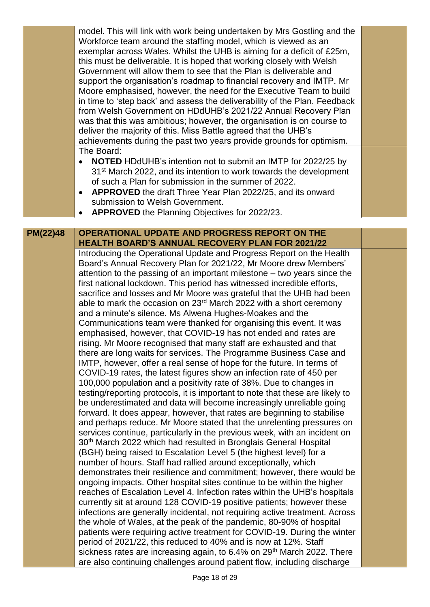|                 | model. This will link with work being undertaken by Mrs Gostling and the<br>Workforce team around the staffing model, which is viewed as an<br>exemplar across Wales. Whilst the UHB is aiming for a deficit of £25m,<br>this must be deliverable. It is hoped that working closely with Welsh<br>Government will allow them to see that the Plan is deliverable and<br>support the organisation's roadmap to financial recovery and IMTP. Mr |  |
|-----------------|-----------------------------------------------------------------------------------------------------------------------------------------------------------------------------------------------------------------------------------------------------------------------------------------------------------------------------------------------------------------------------------------------------------------------------------------------|--|
|                 | Moore emphasised, however, the need for the Executive Team to build<br>in time to 'step back' and assess the deliverability of the Plan. Feedback<br>from Welsh Government on HDdUHB's 2021/22 Annual Recovery Plan<br>was that this was ambitious; however, the organisation is on course to<br>deliver the majority of this. Miss Battle agreed that the UHB's<br>achievements during the past two years provide grounds for optimism.      |  |
|                 | The Board:<br><b>NOTED</b> HDdUHB's intention not to submit an IMTP for 2022/25 by<br>31 <sup>st</sup> March 2022, and its intention to work towards the development<br>of such a Plan for submission in the summer of 2022.<br>APPROVED the draft Three Year Plan 2022/25, and its onward<br>submission to Welsh Government.<br><b>APPROVED</b> the Planning Objectives for 2022/23.                                                         |  |
|                 |                                                                                                                                                                                                                                                                                                                                                                                                                                               |  |
| <b>PM(22)48</b> | OPERATIONAL UPDATE AND PROGRESS REPORT ON THE                                                                                                                                                                                                                                                                                                                                                                                                 |  |
|                 | <b>HEALTH BOARD'S ANNUAL RECOVERY PLAN FOR 2021/22</b><br>Introducing the Operational Update and Progress Report on the Health                                                                                                                                                                                                                                                                                                                |  |
|                 | Board's Annual Recovery Plan for 2021/22, Mr Moore drew Members'                                                                                                                                                                                                                                                                                                                                                                              |  |
|                 | attention to the passing of an important milestone $-$ two years since the                                                                                                                                                                                                                                                                                                                                                                    |  |
|                 | first national lockdown. This period has witnessed incredible efforts,                                                                                                                                                                                                                                                                                                                                                                        |  |
|                 | sacrifice and losses and Mr Moore was grateful that the UHB had been                                                                                                                                                                                                                                                                                                                                                                          |  |
|                 | able to mark the occasion on 23 <sup>rd</sup> March 2022 with a short ceremony                                                                                                                                                                                                                                                                                                                                                                |  |
|                 | and a minute's silence. Ms Alwena Hughes-Moakes and the                                                                                                                                                                                                                                                                                                                                                                                       |  |
|                 | Communications team were thanked for organising this event. It was<br>emphasised, however, that COVID-19 has not ended and rates are                                                                                                                                                                                                                                                                                                          |  |
|                 | rising. Mr Moore recognised that many staff are exhausted and that                                                                                                                                                                                                                                                                                                                                                                            |  |
|                 | there are long waits for services. The Programme Business Case and                                                                                                                                                                                                                                                                                                                                                                            |  |
|                 | IMTP, however, offer a real sense of hope for the future. In terms of                                                                                                                                                                                                                                                                                                                                                                         |  |
|                 | COVID-19 rates, the latest figures show an infection rate of 450 per                                                                                                                                                                                                                                                                                                                                                                          |  |
|                 | 100,000 population and a positivity rate of 38%. Due to changes in                                                                                                                                                                                                                                                                                                                                                                            |  |
|                 | testing/reporting protocols, it is important to note that these are likely to                                                                                                                                                                                                                                                                                                                                                                 |  |
|                 | be underestimated and data will become increasingly unreliable going                                                                                                                                                                                                                                                                                                                                                                          |  |
|                 | forward. It does appear, however, that rates are beginning to stabilise                                                                                                                                                                                                                                                                                                                                                                       |  |
|                 | and perhaps reduce. Mr Moore stated that the unrelenting pressures on                                                                                                                                                                                                                                                                                                                                                                         |  |
|                 | services continue, particularly in the previous week, with an incident on<br>30 <sup>th</sup> March 2022 which had resulted in Bronglais General Hospital                                                                                                                                                                                                                                                                                     |  |
|                 | (BGH) being raised to Escalation Level 5 (the highest level) for a                                                                                                                                                                                                                                                                                                                                                                            |  |
|                 | number of hours. Staff had rallied around exceptionally, which                                                                                                                                                                                                                                                                                                                                                                                |  |
|                 | demonstrates their resilience and commitment; however, there would be                                                                                                                                                                                                                                                                                                                                                                         |  |
|                 | ongoing impacts. Other hospital sites continue to be within the higher                                                                                                                                                                                                                                                                                                                                                                        |  |
|                 | reaches of Escalation Level 4. Infection rates within the UHB's hospitals                                                                                                                                                                                                                                                                                                                                                                     |  |
|                 | currently sit at around 128 COVID-19 positive patients; however these                                                                                                                                                                                                                                                                                                                                                                         |  |
|                 | infections are generally incidental, not requiring active treatment. Across                                                                                                                                                                                                                                                                                                                                                                   |  |
|                 | the whole of Wales, at the peak of the pandemic, 80-90% of hospital                                                                                                                                                                                                                                                                                                                                                                           |  |
|                 | patients were requiring active treatment for COVID-19. During the winter                                                                                                                                                                                                                                                                                                                                                                      |  |
|                 | period of 2021/22, this reduced to 40% and is now at 12%. Staff<br>sickness rates are increasing again, to 6.4% on 29 <sup>th</sup> March 2022. There                                                                                                                                                                                                                                                                                         |  |
|                 | are also continuing challenges around patient flow, including discharge                                                                                                                                                                                                                                                                                                                                                                       |  |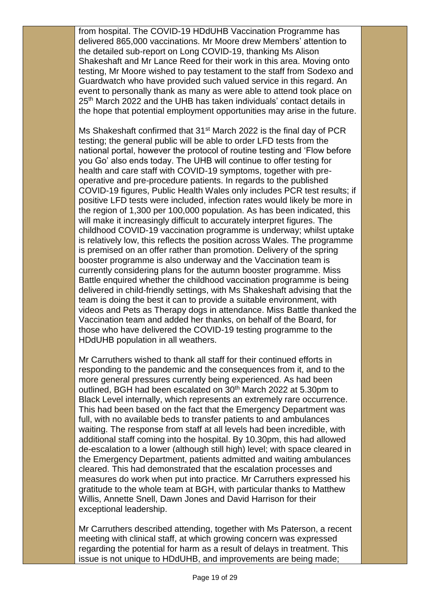from hospital. The COVID-19 HDdUHB Vaccination Programme has delivered 865,000 vaccinations. Mr Moore drew Members' attention to the detailed sub-report on Long COVID-19, thanking Ms Alison Shakeshaft and Mr Lance Reed for their work in this area. Moving onto testing, Mr Moore wished to pay testament to the staff from Sodexo and Guardwatch who have provided such valued service in this regard. An event to personally thank as many as were able to attend took place on 25<sup>th</sup> March 2022 and the UHB has taken individuals' contact details in the hope that potential employment opportunities may arise in the future.

Ms Shakeshaft confirmed that 31<sup>st</sup> March 2022 is the final day of PCR testing; the general public will be able to order LFD tests from the national portal, however the protocol of routine testing and 'Flow before you Go' also ends today. The UHB will continue to offer testing for health and care staff with COVID-19 symptoms, together with preoperative and pre-procedure patients. In regards to the published COVID-19 figures, Public Health Wales only includes PCR test results; if positive LFD tests were included, infection rates would likely be more in the region of 1,300 per 100,000 population. As has been indicated, this will make it increasingly difficult to accurately interpret figures. The childhood COVID-19 vaccination programme is underway; whilst uptake is relatively low, this reflects the position across Wales. The programme is premised on an offer rather than promotion. Delivery of the spring booster programme is also underway and the Vaccination team is currently considering plans for the autumn booster programme. Miss Battle enquired whether the childhood vaccination programme is being delivered in child-friendly settings, with Ms Shakeshaft advising that the team is doing the best it can to provide a suitable environment, with videos and Pets as Therapy dogs in attendance. Miss Battle thanked the Vaccination team and added her thanks, on behalf of the Board, for those who have delivered the COVID-19 testing programme to the HDdUHB population in all weathers.

Mr Carruthers wished to thank all staff for their continued efforts in responding to the pandemic and the consequences from it, and to the more general pressures currently being experienced. As had been outlined, BGH had been escalated on 30<sup>th</sup> March 2022 at 5.30pm to Black Level internally, which represents an extremely rare occurrence. This had been based on the fact that the Emergency Department was full, with no available beds to transfer patients to and ambulances waiting. The response from staff at all levels had been incredible, with additional staff coming into the hospital. By 10.30pm, this had allowed de-escalation to a lower (although still high) level; with space cleared in the Emergency Department, patients admitted and waiting ambulances cleared. This had demonstrated that the escalation processes and measures do work when put into practice. Mr Carruthers expressed his gratitude to the whole team at BGH, with particular thanks to Matthew Willis, Annette Snell, Dawn Jones and David Harrison for their exceptional leadership.

Mr Carruthers described attending, together with Ms Paterson, a recent meeting with clinical staff, at which growing concern was expressed regarding the potential for harm as a result of delays in treatment. This issue is not unique to HDdUHB, and improvements are being made;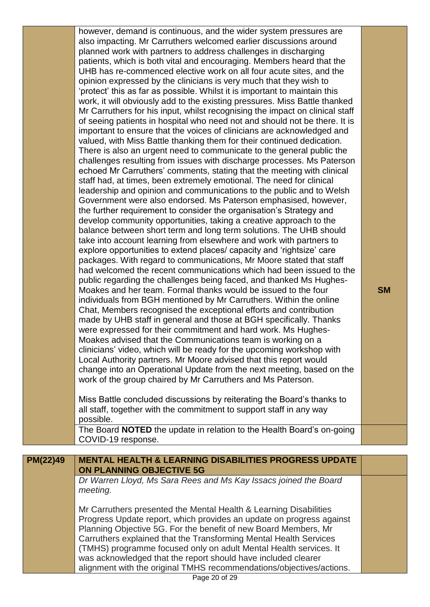|          | however, demand is continuous, and the wider system pressures are<br>also impacting. Mr Carruthers welcomed earlier discussions around<br>planned work with partners to address challenges in discharging<br>patients, which is both vital and encouraging. Members heard that the<br>UHB has re-commenced elective work on all four acute sites, and the<br>opinion expressed by the clinicians is very much that they wish to<br>'protect' this as far as possible. Whilst it is important to maintain this<br>work, it will obviously add to the existing pressures. Miss Battle thanked<br>Mr Carruthers for his input, whilst recognising the impact on clinical staff<br>of seeing patients in hospital who need not and should not be there. It is<br>important to ensure that the voices of clinicians are acknowledged and<br>valued, with Miss Battle thanking them for their continued dedication.<br>There is also an urgent need to communicate to the general public the<br>challenges resulting from issues with discharge processes. Ms Paterson<br>echoed Mr Carruthers' comments, stating that the meeting with clinical<br>staff had, at times, been extremely emotional. The need for clinical<br>leadership and opinion and communications to the public and to Welsh<br>Government were also endorsed. Ms Paterson emphasised, however,<br>the further requirement to consider the organisation's Strategy and<br>develop community opportunities, taking a creative approach to the<br>balance between short term and long term solutions. The UHB should<br>take into account learning from elsewhere and work with partners to<br>explore opportunities to extend places/ capacity and 'rightsize' care<br>packages. With regard to communications, Mr Moore stated that staff<br>had welcomed the recent communications which had been issued to the<br>public regarding the challenges being faced, and thanked Ms Hughes-<br>Moakes and her team. Formal thanks would be issued to the four<br>individuals from BGH mentioned by Mr Carruthers. Within the online<br>Chat, Members recognised the exceptional efforts and contribution<br>made by UHB staff in general and those at BGH specifically. Thanks<br>were expressed for their commitment and hard work. Ms Hughes-<br>Moakes advised that the Communications team is working on a<br>clinicians' video, which will be ready for the upcoming workshop with<br>Local Authority partners. Mr Moore advised that this report would<br>change into an Operational Update from the next meeting, based on the | <b>SM</b> |
|----------|-------------------------------------------------------------------------------------------------------------------------------------------------------------------------------------------------------------------------------------------------------------------------------------------------------------------------------------------------------------------------------------------------------------------------------------------------------------------------------------------------------------------------------------------------------------------------------------------------------------------------------------------------------------------------------------------------------------------------------------------------------------------------------------------------------------------------------------------------------------------------------------------------------------------------------------------------------------------------------------------------------------------------------------------------------------------------------------------------------------------------------------------------------------------------------------------------------------------------------------------------------------------------------------------------------------------------------------------------------------------------------------------------------------------------------------------------------------------------------------------------------------------------------------------------------------------------------------------------------------------------------------------------------------------------------------------------------------------------------------------------------------------------------------------------------------------------------------------------------------------------------------------------------------------------------------------------------------------------------------------------------------------------------------------------------------------------------------------------------------------------------------------------------------------------------------------------------------------------------------------------------------------------------------------------------------------------------------------------------------------------------------------------------------------------------------------------------------------------------------------------------------------------------------------------------------------------------------------------|-----------|
|          | work of the group chaired by Mr Carruthers and Ms Paterson.<br>Miss Battle concluded discussions by reiterating the Board's thanks to                                                                                                                                                                                                                                                                                                                                                                                                                                                                                                                                                                                                                                                                                                                                                                                                                                                                                                                                                                                                                                                                                                                                                                                                                                                                                                                                                                                                                                                                                                                                                                                                                                                                                                                                                                                                                                                                                                                                                                                                                                                                                                                                                                                                                                                                                                                                                                                                                                                           |           |
|          | all staff, together with the commitment to support staff in any way<br>possible.<br>The Board NOTED the update in relation to the Health Board's on-going                                                                                                                                                                                                                                                                                                                                                                                                                                                                                                                                                                                                                                                                                                                                                                                                                                                                                                                                                                                                                                                                                                                                                                                                                                                                                                                                                                                                                                                                                                                                                                                                                                                                                                                                                                                                                                                                                                                                                                                                                                                                                                                                                                                                                                                                                                                                                                                                                                       |           |
|          | COVID-19 response.                                                                                                                                                                                                                                                                                                                                                                                                                                                                                                                                                                                                                                                                                                                                                                                                                                                                                                                                                                                                                                                                                                                                                                                                                                                                                                                                                                                                                                                                                                                                                                                                                                                                                                                                                                                                                                                                                                                                                                                                                                                                                                                                                                                                                                                                                                                                                                                                                                                                                                                                                                              |           |
| PM(22)49 | <b>MENTAL HEALTH &amp; LEARNING DISABILITIES PROGRESS UPDATE</b>                                                                                                                                                                                                                                                                                                                                                                                                                                                                                                                                                                                                                                                                                                                                                                                                                                                                                                                                                                                                                                                                                                                                                                                                                                                                                                                                                                                                                                                                                                                                                                                                                                                                                                                                                                                                                                                                                                                                                                                                                                                                                                                                                                                                                                                                                                                                                                                                                                                                                                                                |           |
|          | <b>ON PLANNING OBJECTIVE 5G</b>                                                                                                                                                                                                                                                                                                                                                                                                                                                                                                                                                                                                                                                                                                                                                                                                                                                                                                                                                                                                                                                                                                                                                                                                                                                                                                                                                                                                                                                                                                                                                                                                                                                                                                                                                                                                                                                                                                                                                                                                                                                                                                                                                                                                                                                                                                                                                                                                                                                                                                                                                                 |           |
|          | Dr Warren Lloyd, Ms Sara Rees and Ms Kay Issacs joined the Board<br>meeting.                                                                                                                                                                                                                                                                                                                                                                                                                                                                                                                                                                                                                                                                                                                                                                                                                                                                                                                                                                                                                                                                                                                                                                                                                                                                                                                                                                                                                                                                                                                                                                                                                                                                                                                                                                                                                                                                                                                                                                                                                                                                                                                                                                                                                                                                                                                                                                                                                                                                                                                    |           |
|          | Mr Carruthers presented the Mental Health & Learning Disabilities<br>Progress Update report, which provides an update on progress against<br>Planning Objective 5G. For the benefit of new Board Members, Mr<br>Carruthers explained that the Transforming Mental Health Services<br>(TMHS) programme focused only on adult Mental Health services. It<br>was acknowledged that the report should have included clearer                                                                                                                                                                                                                                                                                                                                                                                                                                                                                                                                                                                                                                                                                                                                                                                                                                                                                                                                                                                                                                                                                                                                                                                                                                                                                                                                                                                                                                                                                                                                                                                                                                                                                                                                                                                                                                                                                                                                                                                                                                                                                                                                                                         |           |
|          | alignment with the original TMHS recommendations/objectives/actions.                                                                                                                                                                                                                                                                                                                                                                                                                                                                                                                                                                                                                                                                                                                                                                                                                                                                                                                                                                                                                                                                                                                                                                                                                                                                                                                                                                                                                                                                                                                                                                                                                                                                                                                                                                                                                                                                                                                                                                                                                                                                                                                                                                                                                                                                                                                                                                                                                                                                                                                            |           |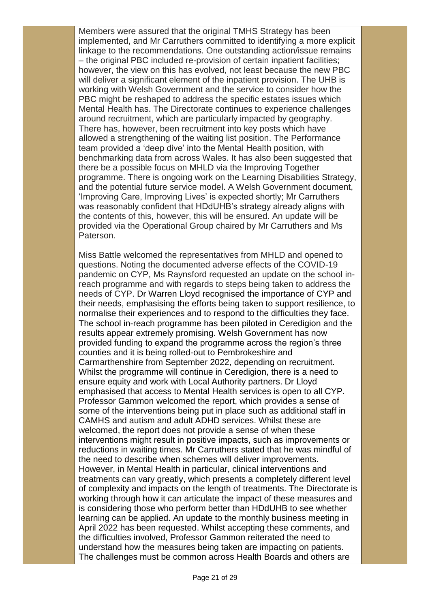Members were assured that the original TMHS Strategy has been implemented, and Mr Carruthers committed to identifying a more explicit linkage to the recommendations. One outstanding action/issue remains – the original PBC included re-provision of certain inpatient facilities; however, the view on this has evolved, not least because the new PBC will deliver a significant element of the inpatient provision. The UHB is working with Welsh Government and the service to consider how the PBC might be reshaped to address the specific estates issues which Mental Health has. The Directorate continues to experience challenges around recruitment, which are particularly impacted by geography. There has, however, been recruitment into key posts which have allowed a strengthening of the waiting list position. The Performance team provided a 'deep dive' into the Mental Health position, with benchmarking data from across Wales. It has also been suggested that there be a possible focus on MHLD via the Improving Together programme. There is ongoing work on the Learning Disabilities Strategy, and the potential future service model. A Welsh Government document, 'Improving Care, Improving Lives' is expected shortly; Mr Carruthers was reasonably confident that HDdUHB's strategy already aligns with the contents of this, however, this will be ensured. An update will be provided via the Operational Group chaired by Mr Carruthers and Ms Paterson.

Miss Battle welcomed the representatives from MHLD and opened to questions. Noting the documented adverse effects of the COVID-19 pandemic on CYP, Ms Raynsford requested an update on the school inreach programme and with regards to steps being taken to address the needs of CYP. Dr Warren Lloyd recognised the importance of CYP and their needs, emphasising the efforts being taken to support resilience, to normalise their experiences and to respond to the difficulties they face. The school in-reach programme has been piloted in Ceredigion and the results appear extremely promising. Welsh Government has now provided funding to expand the programme across the region's three counties and it is being rolled-out to Pembrokeshire and Carmarthenshire from September 2022, depending on recruitment. Whilst the programme will continue in Ceredigion, there is a need to ensure equity and work with Local Authority partners. Dr Lloyd emphasised that access to Mental Health services is open to all CYP. Professor Gammon welcomed the report, which provides a sense of some of the interventions being put in place such as additional staff in CAMHS and autism and adult ADHD services. Whilst these are welcomed, the report does not provide a sense of when these interventions might result in positive impacts, such as improvements or reductions in waiting times. Mr Carruthers stated that he was mindful of the need to describe when schemes will deliver improvements. However, in Mental Health in particular, clinical interventions and treatments can vary greatly, which presents a completely different level of complexity and impacts on the length of treatments. The Directorate is working through how it can articulate the impact of these measures and is considering those who perform better than HDdUHB to see whether learning can be applied. An update to the monthly business meeting in April 2022 has been requested. Whilst accepting these comments, and the difficulties involved, Professor Gammon reiterated the need to understand how the measures being taken are impacting on patients. The challenges must be common across Health Boards and others are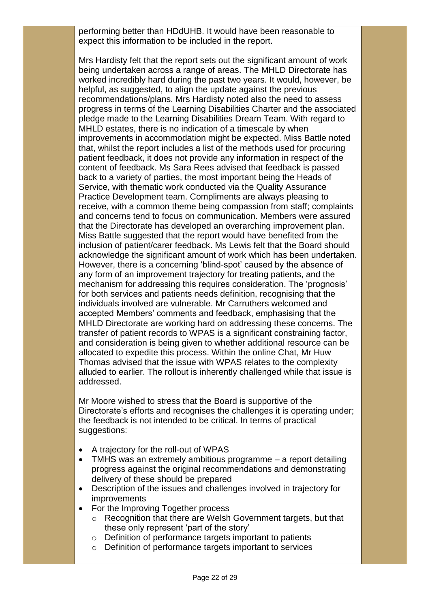performing better than HDdUHB. It would have been reasonable to expect this information to be included in the report.

Mrs Hardisty felt that the report sets out the significant amount of work being undertaken across a range of areas. The MHLD Directorate has worked incredibly hard during the past two years. It would, however, be helpful, as suggested, to align the update against the previous recommendations/plans. Mrs Hardisty noted also the need to assess progress in terms of the Learning Disabilities Charter and the associated pledge made to the Learning Disabilities Dream Team. With regard to MHLD estates, there is no indication of a timescale by when improvements in accommodation might be expected. Miss Battle noted that, whilst the report includes a list of the methods used for procuring patient feedback, it does not provide any information in respect of the content of feedback. Ms Sara Rees advised that feedback is passed back to a variety of parties, the most important being the Heads of Service, with thematic work conducted via the Quality Assurance Practice Development team. Compliments are always pleasing to receive, with a common theme being compassion from staff; complaints and concerns tend to focus on communication. Members were assured that the Directorate has developed an overarching improvement plan. Miss Battle suggested that the report would have benefited from the inclusion of patient/carer feedback. Ms Lewis felt that the Board should acknowledge the significant amount of work which has been undertaken. However, there is a concerning 'blind-spot' caused by the absence of any form of an improvement trajectory for treating patients, and the mechanism for addressing this requires consideration. The 'prognosis' for both services and patients needs definition, recognising that the individuals involved are vulnerable. Mr Carruthers welcomed and accepted Members' comments and feedback, emphasising that the MHLD Directorate are working hard on addressing these concerns. The transfer of patient records to WPAS is a significant constraining factor, and consideration is being given to whether additional resource can be allocated to expedite this process. Within the online Chat, Mr Huw Thomas advised that the issue with WPAS relates to the complexity alluded to earlier. The rollout is inherently challenged while that issue is addressed.

Mr Moore wished to stress that the Board is supportive of the Directorate's efforts and recognises the challenges it is operating under; the feedback is not intended to be critical. In terms of practical suggestions:

- A trajectory for the roll-out of WPAS
- TMHS was an extremely ambitious programme a report detailing progress against the original recommendations and demonstrating delivery of these should be prepared
- Description of the issues and challenges involved in trajectory for improvements
- For the Improving Together process
	- o Recognition that there are Welsh Government targets, but that these only represent 'part of the story'
	- o Definition of performance targets important to patients
	- o Definition of performance targets important to services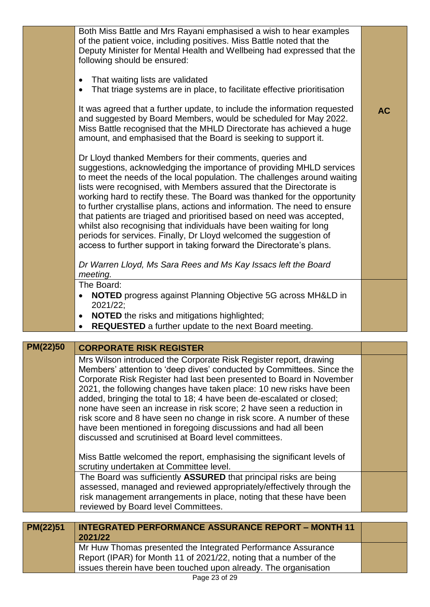| Both Miss Battle and Mrs Rayani emphasised a wish to hear examples<br>of the patient voice, including positives. Miss Battle noted that the                                                                                                                                                                                                                                                                                                                                                                                                                                                                                                                                                                                                |           |
|--------------------------------------------------------------------------------------------------------------------------------------------------------------------------------------------------------------------------------------------------------------------------------------------------------------------------------------------------------------------------------------------------------------------------------------------------------------------------------------------------------------------------------------------------------------------------------------------------------------------------------------------------------------------------------------------------------------------------------------------|-----------|
| Deputy Minister for Mental Health and Wellbeing had expressed that the<br>following should be ensured:                                                                                                                                                                                                                                                                                                                                                                                                                                                                                                                                                                                                                                     |           |
| That waiting lists are validated<br>$\bullet$<br>That triage systems are in place, to facilitate effective prioritisation                                                                                                                                                                                                                                                                                                                                                                                                                                                                                                                                                                                                                  |           |
| It was agreed that a further update, to include the information requested<br>and suggested by Board Members, would be scheduled for May 2022.<br>Miss Battle recognised that the MHLD Directorate has achieved a huge<br>amount, and emphasised that the Board is seeking to support it.                                                                                                                                                                                                                                                                                                                                                                                                                                                   | <b>AC</b> |
| Dr Lloyd thanked Members for their comments, queries and<br>suggestions, acknowledging the importance of providing MHLD services<br>to meet the needs of the local population. The challenges around waiting<br>lists were recognised, with Members assured that the Directorate is<br>working hard to rectify these. The Board was thanked for the opportunity<br>to further crystallise plans, actions and information. The need to ensure<br>that patients are triaged and prioritised based on need was accepted,<br>whilst also recognising that individuals have been waiting for long<br>periods for services. Finally, Dr Lloyd welcomed the suggestion of<br>access to further support in taking forward the Directorate's plans. |           |
| Dr Warren Lloyd, Ms Sara Rees and Ms Kay Issacs left the Board<br>meeting.                                                                                                                                                                                                                                                                                                                                                                                                                                                                                                                                                                                                                                                                 |           |
| The Board:                                                                                                                                                                                                                                                                                                                                                                                                                                                                                                                                                                                                                                                                                                                                 |           |
| <b>NOTED</b> progress against Planning Objective 5G across MH&LD in<br>2021/22;                                                                                                                                                                                                                                                                                                                                                                                                                                                                                                                                                                                                                                                            |           |
| <b>NOTED</b> the risks and mitigations highlighted;<br>$\bullet$<br><b>REQUESTED</b> a further update to the next Board meeting.                                                                                                                                                                                                                                                                                                                                                                                                                                                                                                                                                                                                           |           |
|                                                                                                                                                                                                                                                                                                                                                                                                                                                                                                                                                                                                                                                                                                                                            |           |

| <b>PM(22)50</b> | <b>CORPORATE RISK REGISTER</b>                                                                                                                                                                                                                                                                                                                                                                                                                                                                                                                                                                                                               |  |
|-----------------|----------------------------------------------------------------------------------------------------------------------------------------------------------------------------------------------------------------------------------------------------------------------------------------------------------------------------------------------------------------------------------------------------------------------------------------------------------------------------------------------------------------------------------------------------------------------------------------------------------------------------------------------|--|
|                 | Mrs Wilson introduced the Corporate Risk Register report, drawing<br>Members' attention to 'deep dives' conducted by Committees. Since the<br>Corporate Risk Register had last been presented to Board in November<br>2021, the following changes have taken place: 10 new risks have been<br>added, bringing the total to 18; 4 have been de-escalated or closed;<br>none have seen an increase in risk score; 2 have seen a reduction in<br>risk score and 8 have seen no change in risk score. A number of these<br>have been mentioned in foregoing discussions and had all been<br>discussed and scrutinised at Board level committees. |  |
|                 | Miss Battle welcomed the report, emphasising the significant levels of<br>scrutiny undertaken at Committee level.                                                                                                                                                                                                                                                                                                                                                                                                                                                                                                                            |  |
|                 | The Board was sufficiently ASSURED that principal risks are being<br>assessed, managed and reviewed appropriately/effectively through the<br>risk management arrangements in place, noting that these have been<br>reviewed by Board level Committees.                                                                                                                                                                                                                                                                                                                                                                                       |  |
|                 |                                                                                                                                                                                                                                                                                                                                                                                                                                                                                                                                                                                                                                              |  |
| PM(22)51        | <b>INTEGRATED PERFORMANCE ASSURANCE REPORT - MONTH 11</b><br>2021/22                                                                                                                                                                                                                                                                                                                                                                                                                                                                                                                                                                         |  |
|                 | Mr Huw Thomas presented the Integrated Performance Assurance                                                                                                                                                                                                                                                                                                                                                                                                                                                                                                                                                                                 |  |

Report (IPAR) for Month 11 of 2021/22, noting that a number of the issues therein have been touched upon already. The organisation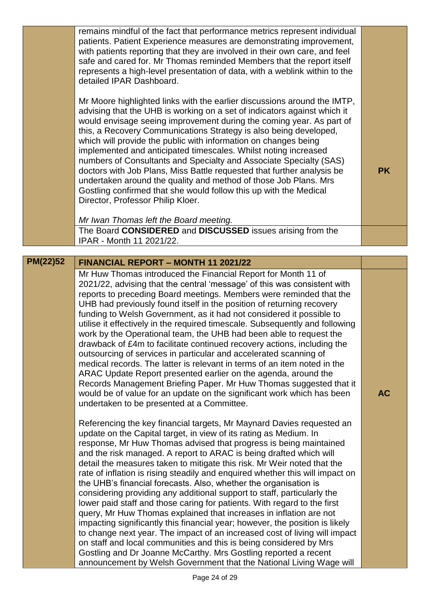|          | remains mindful of the fact that performance metrics represent individual<br>patients. Patient Experience measures are demonstrating improvement,<br>with patients reporting that they are involved in their own care, and feel<br>safe and cared for. Mr Thomas reminded Members that the report itself<br>represents a high-level presentation of data, with a weblink within to the<br>detailed IPAR Dashboard.                                                                                                                                                                                                                                                                                                                                                                                                                                                                                                                                                                                                                                                                                                               |           |
|----------|----------------------------------------------------------------------------------------------------------------------------------------------------------------------------------------------------------------------------------------------------------------------------------------------------------------------------------------------------------------------------------------------------------------------------------------------------------------------------------------------------------------------------------------------------------------------------------------------------------------------------------------------------------------------------------------------------------------------------------------------------------------------------------------------------------------------------------------------------------------------------------------------------------------------------------------------------------------------------------------------------------------------------------------------------------------------------------------------------------------------------------|-----------|
|          | Mr Moore highlighted links with the earlier discussions around the IMTP,<br>advising that the UHB is working on a set of indicators against which it<br>would envisage seeing improvement during the coming year. As part of<br>this, a Recovery Communications Strategy is also being developed,<br>which will provide the public with information on changes being<br>implemented and anticipated timescales. Whilst noting increased<br>numbers of Consultants and Specialty and Associate Specialty (SAS)<br>doctors with Job Plans, Miss Battle requested that further analysis be<br>undertaken around the quality and method of those Job Plans. Mrs<br>Gostling confirmed that she would follow this up with the Medical<br>Director, Professor Philip Kloer.                                                                                                                                                                                                                                                                                                                                                            | <b>PK</b> |
|          | Mr Iwan Thomas left the Board meeting.                                                                                                                                                                                                                                                                                                                                                                                                                                                                                                                                                                                                                                                                                                                                                                                                                                                                                                                                                                                                                                                                                           |           |
|          | The Board CONSIDERED and DISCUSSED issues arising from the<br>IPAR - Month 11 2021/22.                                                                                                                                                                                                                                                                                                                                                                                                                                                                                                                                                                                                                                                                                                                                                                                                                                                                                                                                                                                                                                           |           |
|          |                                                                                                                                                                                                                                                                                                                                                                                                                                                                                                                                                                                                                                                                                                                                                                                                                                                                                                                                                                                                                                                                                                                                  |           |
| PM(22)52 | <b>FINANCIAL REPORT - MONTH 11 2021/22</b>                                                                                                                                                                                                                                                                                                                                                                                                                                                                                                                                                                                                                                                                                                                                                                                                                                                                                                                                                                                                                                                                                       |           |
|          | Mr Huw Thomas introduced the Financial Report for Month 11 of<br>2021/22, advising that the central 'message' of this was consistent with<br>reports to preceding Board meetings. Members were reminded that the<br>UHB had previously found itself in the position of returning recovery<br>funding to Welsh Government, as it had not considered it possible to<br>utilise it effectively in the required timescale. Subsequently and following<br>work by the Operational team, the UHB had been able to request the<br>drawback of £4m to facilitate continued recovery actions, including the<br>outsourcing of services in particular and accelerated scanning of<br>medical records. The latter is relevant in terms of an item noted in the<br>ARAC Update Report presented earlier on the agenda, around the<br>Records Management Briefing Paper. Mr Huw Thomas suggested that it<br>would be of value for an update on the significant work which has been<br>undertaken to be presented at a Committee.                                                                                                              | <b>AC</b> |
|          | Referencing the key financial targets, Mr Maynard Davies requested an<br>update on the Capital target, in view of its rating as Medium. In<br>response, Mr Huw Thomas advised that progress is being maintained<br>and the risk managed. A report to ARAC is being drafted which will<br>detail the measures taken to mitigate this risk. Mr Weir noted that the<br>rate of inflation is rising steadily and enquired whether this will impact on<br>the UHB's financial forecasts. Also, whether the organisation is<br>considering providing any additional support to staff, particularly the<br>lower paid staff and those caring for patients. With regard to the first<br>query, Mr Huw Thomas explained that increases in inflation are not<br>impacting significantly this financial year; however, the position is likely<br>to change next year. The impact of an increased cost of living will impact<br>on staff and local communities and this is being considered by Mrs<br>Gostling and Dr Joanne McCarthy. Mrs Gostling reported a recent<br>announcement by Welsh Government that the National Living Wage will |           |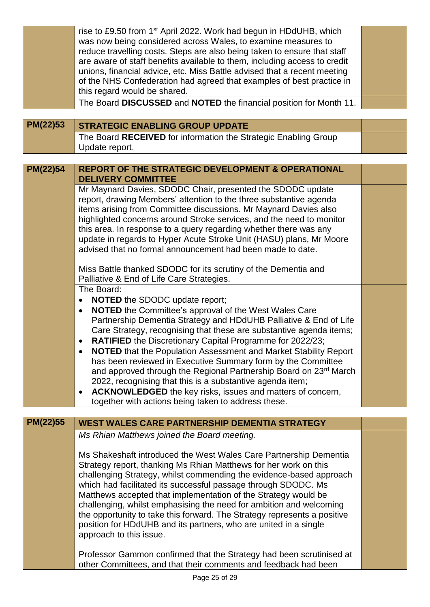|          | rise to £9.50 from 1 <sup>st</sup> April 2022. Work had begun in HDdUHB, which                                                             |  |
|----------|--------------------------------------------------------------------------------------------------------------------------------------------|--|
|          | was now being considered across Wales, to examine measures to<br>reduce travelling costs. Steps are also being taken to ensure that staff  |  |
|          | are aware of staff benefits available to them, including access to credit                                                                  |  |
|          | unions, financial advice, etc. Miss Battle advised that a recent meeting                                                                   |  |
|          | of the NHS Confederation had agreed that examples of best practice in                                                                      |  |
|          | this regard would be shared.                                                                                                               |  |
|          | The Board DISCUSSED and NOTED the financial position for Month 11.                                                                         |  |
|          |                                                                                                                                            |  |
| PM(22)53 | <b>STRATEGIC ENABLING GROUP UPDATE</b>                                                                                                     |  |
|          | The Board RECEIVED for information the Strategic Enabling Group                                                                            |  |
|          | Update report.                                                                                                                             |  |
|          |                                                                                                                                            |  |
| PM(22)54 | <b>REPORT OF THE STRATEGIC DEVELOPMENT &amp; OPERATIONAL</b><br><b>DELIVERY COMMITTEE</b>                                                  |  |
|          | Mr Maynard Davies, SDODC Chair, presented the SDODC update                                                                                 |  |
|          | report, drawing Members' attention to the three substantive agenda                                                                         |  |
|          | items arising from Committee discussions. Mr Maynard Davies also                                                                           |  |
|          | highlighted concerns around Stroke services, and the need to monitor                                                                       |  |
|          | this area. In response to a query regarding whether there was any<br>update in regards to Hyper Acute Stroke Unit (HASU) plans, Mr Moore   |  |
|          | advised that no formal announcement had been made to date.                                                                                 |  |
|          |                                                                                                                                            |  |
|          | Miss Battle thanked SDODC for its scrutiny of the Dementia and<br>Palliative & End of Life Care Strategies.                                |  |
|          | The Board:                                                                                                                                 |  |
|          | <b>NOTED</b> the SDODC update report;<br>$\bullet$                                                                                         |  |
|          | <b>NOTED</b> the Committee's approval of the West Wales Care<br>$\bullet$                                                                  |  |
|          | Partnership Dementia Strategy and HDdUHB Palliative & End of Life                                                                          |  |
|          | Care Strategy, recognising that these are substantive agenda items;                                                                        |  |
|          | RATIFIED the Discretionary Capital Programme for 2022/23;<br>٠                                                                             |  |
|          | NOTED that the Population Assessment and Market Stability Report<br>٠                                                                      |  |
|          | has been reviewed in Executive Summary form by the Committee                                                                               |  |
|          | and approved through the Regional Partnership Board on 23 <sup>rd</sup> March<br>2022, recognising that this is a substantive agenda item; |  |
|          | ACKNOWLEDGED the key risks, issues and matters of concern,<br>$\bullet$                                                                    |  |
|          | together with actions being taken to address these.                                                                                        |  |
|          |                                                                                                                                            |  |
| PM(22)55 | <b>WEST WALES CARE PARTNERSHIP DEMENTIA STRATEGY</b>                                                                                       |  |
|          | Ms Rhian Matthews joined the Board meeting.                                                                                                |  |
|          |                                                                                                                                            |  |
|          | Ms Shakeshaft introduced the West Wales Care Partnership Dementia                                                                          |  |
|          | Strategy report, thanking Ms Rhian Matthews for her work on this                                                                           |  |
|          | challenging Strategy, whilst commending the evidence-based approach                                                                        |  |
|          | which had facilitated its successful passage through SDODC. Ms                                                                             |  |
|          | Matthews accepted that implementation of the Strategy would be<br>challenging, whilst emphasising the need for ambition and welcoming      |  |
|          | the opportunity to take this forward. The Strategy represents a positive                                                                   |  |
|          | position for HDdUHB and its partners, who are united in a single                                                                           |  |
|          | approach to this issue.                                                                                                                    |  |
|          |                                                                                                                                            |  |
|          | Professor Gammon confirmed that the Strategy had been scrutinised at                                                                       |  |
|          | other Committees, and that their comments and feedback had been                                                                            |  |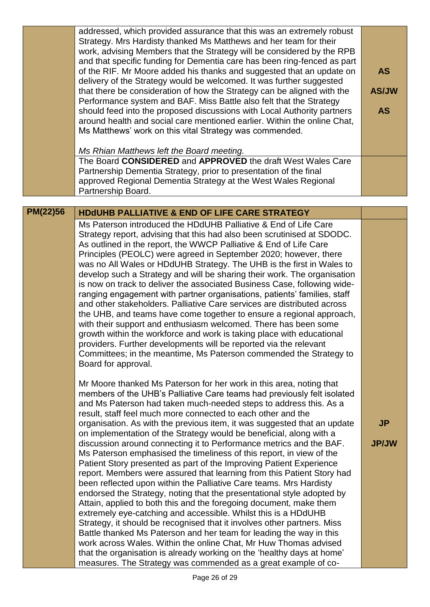|          | addressed, which provided assurance that this was an extremely robust<br>Strategy. Mrs Hardisty thanked Ms Matthews and her team for their<br>work, advising Members that the Strategy will be considered by the RPB<br>and that specific funding for Dementia care has been ring-fenced as part<br>of the RIF. Mr Moore added his thanks and suggested that an update on<br>delivery of the Strategy would be welcomed. It was further suggested<br>that there be consideration of how the Strategy can be aligned with the<br>Performance system and BAF. Miss Battle also felt that the Strategy<br>should feed into the proposed discussions with Local Authority partners<br>around health and social care mentioned earlier. Within the online Chat,<br>Ms Matthews' work on this vital Strategy was commended.<br>Ms Rhian Matthews left the Board meeting.                                                                                                                                                                                                                                                                                                                                                                                                                                                                                                                               | <b>AS</b><br><b>AS/JW</b><br><b>AS</b> |
|----------|--------------------------------------------------------------------------------------------------------------------------------------------------------------------------------------------------------------------------------------------------------------------------------------------------------------------------------------------------------------------------------------------------------------------------------------------------------------------------------------------------------------------------------------------------------------------------------------------------------------------------------------------------------------------------------------------------------------------------------------------------------------------------------------------------------------------------------------------------------------------------------------------------------------------------------------------------------------------------------------------------------------------------------------------------------------------------------------------------------------------------------------------------------------------------------------------------------------------------------------------------------------------------------------------------------------------------------------------------------------------------------------------------|----------------------------------------|
|          | The Board CONSIDERED and APPROVED the draft West Wales Care<br>Partnership Dementia Strategy, prior to presentation of the final<br>approved Regional Dementia Strategy at the West Wales Regional<br>Partnership Board.                                                                                                                                                                                                                                                                                                                                                                                                                                                                                                                                                                                                                                                                                                                                                                                                                                                                                                                                                                                                                                                                                                                                                                         |                                        |
| PM(22)56 | <b>HDdUHB PALLIATIVE &amp; END OF LIFE CARE STRATEGY</b>                                                                                                                                                                                                                                                                                                                                                                                                                                                                                                                                                                                                                                                                                                                                                                                                                                                                                                                                                                                                                                                                                                                                                                                                                                                                                                                                         |                                        |
|          | Ms Paterson introduced the HDdUHB Palliative & End of Life Care<br>Strategy report, advising that this had also been scrutinised at SDODC.<br>As outlined in the report, the WWCP Palliative & End of Life Care<br>Principles (PEOLC) were agreed in September 2020; however, there<br>was no All Wales or HDdUHB Strategy. The UHB is the first in Wales to<br>develop such a Strategy and will be sharing their work. The organisation<br>is now on track to deliver the associated Business Case, following wide-<br>ranging engagement with partner organisations, patients' families, staff<br>and other stakeholders. Palliative Care services are distributed across<br>the UHB, and teams have come together to ensure a regional approach,<br>with their support and enthusiasm welcomed. There has been some<br>growth within the workforce and work is taking place with educational<br>providers. Further developments will be reported via the relevant<br>Committees; in the meantime, Ms Paterson commended the Strategy to<br>Board for approval.                                                                                                                                                                                                                                                                                                                                |                                        |
|          | Mr Moore thanked Ms Paterson for her work in this area, noting that<br>members of the UHB's Palliative Care teams had previously felt isolated<br>and Ms Paterson had taken much-needed steps to address this. As a<br>result, staff feel much more connected to each other and the<br>organisation. As with the previous item, it was suggested that an update<br>on implementation of the Strategy would be beneficial, along with a<br>discussion around connecting it to Performance metrics and the BAF.<br>Ms Paterson emphasised the timeliness of this report, in view of the<br>Patient Story presented as part of the Improving Patient Experience<br>report. Members were assured that learning from this Patient Story had<br>been reflected upon within the Palliative Care teams. Mrs Hardisty<br>endorsed the Strategy, noting that the presentational style adopted by<br>Attain, applied to both this and the foregoing document, make them<br>extremely eye-catching and accessible. Whilst this is a HDdUHB<br>Strategy, it should be recognised that it involves other partners. Miss<br>Battle thanked Ms Paterson and her team for leading the way in this<br>work across Wales. Within the online Chat, Mr Huw Thomas advised<br>that the organisation is already working on the 'healthy days at home'<br>measures. The Strategy was commended as a great example of co- | <b>JP</b><br><b>JP/JW</b>              |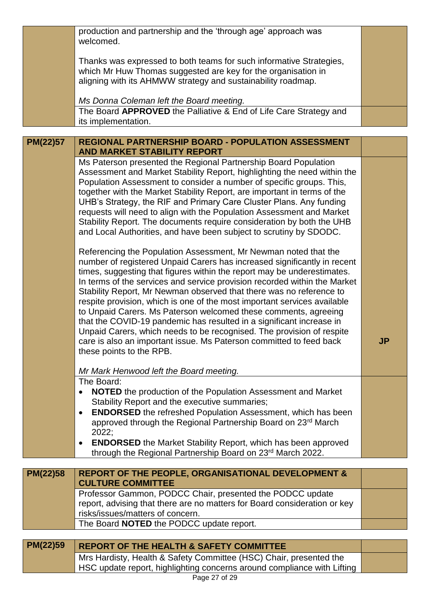|          | production and partnership and the 'through age' approach was<br>welcomed.                                                                                                                                           |           |
|----------|----------------------------------------------------------------------------------------------------------------------------------------------------------------------------------------------------------------------|-----------|
|          | Thanks was expressed to both teams for such informative Strategies,<br>which Mr Huw Thomas suggested are key for the organisation in<br>aligning with its AHMWW strategy and sustainability roadmap.                 |           |
|          | Ms Donna Coleman left the Board meeting.                                                                                                                                                                             |           |
|          | The Board APPROVED the Palliative & End of Life Care Strategy and<br>its implementation.                                                                                                                             |           |
|          |                                                                                                                                                                                                                      |           |
| PM(22)57 | <b>REGIONAL PARTNERSHIP BOARD - POPULATION ASSESSMENT</b><br><b>AND MARKET STABILITY REPORT</b>                                                                                                                      |           |
|          | Ms Paterson presented the Regional Partnership Board Population                                                                                                                                                      |           |
|          | Assessment and Market Stability Report, highlighting the need within the                                                                                                                                             |           |
|          | Population Assessment to consider a number of specific groups. This,                                                                                                                                                 |           |
|          | together with the Market Stability Report, are important in terms of the                                                                                                                                             |           |
|          | UHB's Strategy, the RIF and Primary Care Cluster Plans. Any funding                                                                                                                                                  |           |
|          | requests will need to align with the Population Assessment and Market<br>Stability Report. The documents require consideration by both the UHB<br>and Local Authorities, and have been subject to scrutiny by SDODC. |           |
|          | Referencing the Population Assessment, Mr Newman noted that the<br>number of registered Unpaid Carers has increased significantly in recent                                                                          |           |
|          | times, suggesting that figures within the report may be underestimates.                                                                                                                                              |           |
|          | In terms of the services and service provision recorded within the Market                                                                                                                                            |           |
|          | Stability Report, Mr Newman observed that there was no reference to                                                                                                                                                  |           |
|          | respite provision, which is one of the most important services available                                                                                                                                             |           |
|          | to Unpaid Carers. Ms Paterson welcomed these comments, agreeing<br>that the COVID-19 pandemic has resulted in a significant increase in                                                                              |           |
|          | Unpaid Carers, which needs to be recognised. The provision of respite                                                                                                                                                |           |
|          | care is also an important issue. Ms Paterson committed to feed back                                                                                                                                                  | <b>JP</b> |
|          | these points to the RPB.                                                                                                                                                                                             |           |
|          | Mr Mark Henwood left the Board meeting.                                                                                                                                                                              |           |
|          | The Board:                                                                                                                                                                                                           |           |
|          | <b>NOTED</b> the production of the Population Assessment and Market<br>٠                                                                                                                                             |           |
|          | Stability Report and the executive summaries;                                                                                                                                                                        |           |
|          | <b>ENDORSED</b> the refreshed Population Assessment, which has been<br>$\bullet$                                                                                                                                     |           |
|          | approved through the Regional Partnership Board on 23rd March                                                                                                                                                        |           |
|          | 2022;                                                                                                                                                                                                                |           |
|          | <b>ENDORSED</b> the Market Stability Report, which has been approved<br>٠<br>through the Regional Partnership Board on 23rd March 2022.                                                                              |           |
|          |                                                                                                                                                                                                                      |           |
| PM(22)58 | <b>REPORT OF THE PEOPLE, ORGANISATIONAL DEVELOPMENT &amp;</b>                                                                                                                                                        |           |
|          | <b>CULTURE COMMITTEE</b>                                                                                                                                                                                             |           |
|          | Professor Gammon, PODCC Chair, presented the PODCC update                                                                                                                                                            |           |
|          | report, advising that there are no matters for Board consideration or key<br>risks/issues/matters of concern.                                                                                                        |           |
|          | The Board NOTED the PODCC update report.                                                                                                                                                                             |           |
|          |                                                                                                                                                                                                                      |           |
| PM(22)59 | <b>REPORT OF THE HEALTH &amp; SAFETY COMMITTEE</b>                                                                                                                                                                   |           |
|          | Mrs Hardisty, Health & Safety Committee (HSC) Chair, presented the                                                                                                                                                   |           |
|          | HSC update report, highlighting concerns around compliance with Lifting                                                                                                                                              |           |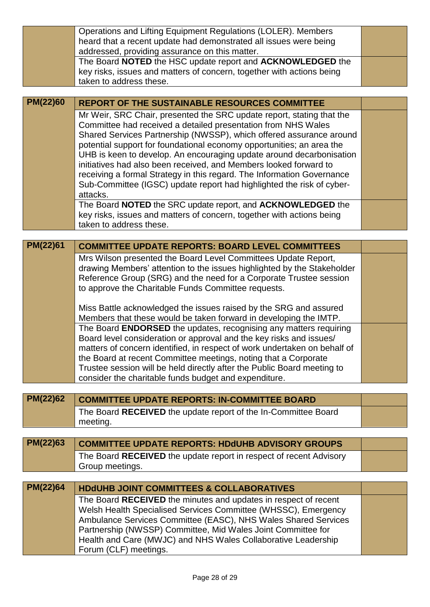|          | Operations and Lifting Equipment Regulations (LOLER). Members<br>heard that a recent update had demonstrated all issues were being               |  |
|----------|--------------------------------------------------------------------------------------------------------------------------------------------------|--|
|          | addressed, providing assurance on this matter.                                                                                                   |  |
|          | The Board NOTED the HSC update report and ACKNOWLEDGED the<br>key risks, issues and matters of concern, together with actions being              |  |
|          | taken to address these.                                                                                                                          |  |
|          |                                                                                                                                                  |  |
| PM(22)60 | <b>REPORT OF THE SUSTAINABLE RESOURCES COMMITTEE</b>                                                                                             |  |
|          | Mr Weir, SRC Chair, presented the SRC update report, stating that the                                                                            |  |
|          | Committee had received a detailed presentation from NHS Wales<br>Shared Services Partnership (NWSSP), which offered assurance around             |  |
|          | potential support for foundational economy opportunities; an area the                                                                            |  |
|          | UHB is keen to develop. An encouraging update around decarbonisation                                                                             |  |
|          | initiatives had also been received, and Members looked forward to                                                                                |  |
|          | receiving a formal Strategy in this regard. The Information Governance                                                                           |  |
|          | Sub-Committee (IGSC) update report had highlighted the risk of cyber-<br>attacks.                                                                |  |
|          | The Board NOTED the SRC update report, and ACKNOWLEDGED the                                                                                      |  |
|          | key risks, issues and matters of concern, together with actions being                                                                            |  |
|          | taken to address these.                                                                                                                          |  |
| PM(22)61 | <b>COMMITTEE UPDATE REPORTS: BOARD LEVEL COMMITTEES</b>                                                                                          |  |
|          | Mrs Wilson presented the Board Level Committees Update Report,                                                                                   |  |
|          | drawing Members' attention to the issues highlighted by the Stakeholder                                                                          |  |
|          | Reference Group (SRG) and the need for a Corporate Trustee session                                                                               |  |
|          | to approve the Charitable Funds Committee requests.                                                                                              |  |
|          | Miss Battle acknowledged the issues raised by the SRG and assured                                                                                |  |
|          | Members that these would be taken forward in developing the IMTP.                                                                                |  |
|          | The Board ENDORSED the updates, recognising any matters requiring                                                                                |  |
|          | Board level consideration or approval and the key risks and issues/<br>matters of concern identified, in respect of work undertaken on behalf of |  |
|          | the Board at recent Committee meetings, noting that a Corporate                                                                                  |  |
|          | Trustee session will be held directly after the Public Board meeting to                                                                          |  |
|          | consider the charitable funds budget and expenditure.                                                                                            |  |
|          |                                                                                                                                                  |  |
| PM(22)62 | <b>COMMITTEE UPDATE REPORTS: IN-COMMITTEE BOARD</b>                                                                                              |  |
|          | The Board RECEIVED the update report of the In-Committee Board<br>meeting.                                                                       |  |
|          |                                                                                                                                                  |  |
| PM(22)63 | <b>COMMITTEE UPDATE REPORTS: HDdUHB ADVISORY GROUPS</b>                                                                                          |  |
|          | The Board RECEIVED the update report in respect of recent Advisory                                                                               |  |
|          | Group meetings.                                                                                                                                  |  |
| PM(22)64 | <b>HDdUHB JOINT COMMITTEES &amp; COLLABORATIVES</b>                                                                                              |  |
|          | The Board RECEIVED the minutes and updates in respect of recent                                                                                  |  |
|          | Welsh Health Specialised Services Committee (WHSSC), Emergency                                                                                   |  |
|          | Ambulance Services Committee (EASC), NHS Wales Shared Services                                                                                   |  |
|          | Partnership (NWSSP) Committee, Mid Wales Joint Committee for<br>Health and Care (MWJC) and NHS Wales Collaborative Leadership                    |  |
|          | Forum (CLF) meetings.                                                                                                                            |  |
|          |                                                                                                                                                  |  |